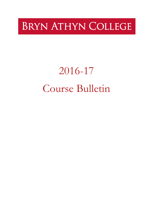# **BRYN ATHYN COLLEGE**

# 2016-17 Course Bulletin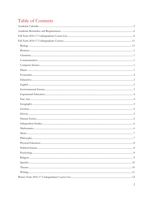# Table of Contents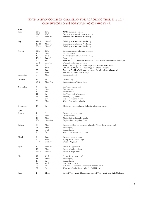### BRYN ATHYN COLLEGE CALENDAR FOR ACADEMIC YEAR 2016-2017: ONE HUNDRED and FORTIETH ACADEMIC YEAR

| 2016      |           |          |                                                                             |
|-----------|-----------|----------|-----------------------------------------------------------------------------|
| June      | TBD       | TBD      | <b>MARS</b> Summer Session                                                  |
|           | TBD       | TBD      | Course registration for new students                                        |
|           | $27-1$    | Mon-Fri  | Building Arts Intensive Workshop                                            |
| July      | 11-15     | Mon-Fri  | Building Arts Intensive Workshop                                            |
|           | 18-22     | Mon-Fri  | Building Arts Intensive Workshop                                            |
|           | 25-29     | Mon-Fri  | Building Arts Intensive Workshop                                            |
| August    | TBD       | TBD      | Course registration for new students                                        |
|           | 15        | Mon      | Faculty retreat                                                             |
|           | 16        | Tues     | Administration and Faculty meetings                                         |
|           | 16-19     | Tues-Fri | RA training                                                                 |
|           | 20        | Sat      | $11:00$ am $-4:00$ pm: New Students (US and International) arrive on campus |
|           | $20 - 23$ | Sat-Tues | Orientation for new students                                                |
|           | 21        | Sun      | 12:00 pm - 5:00 pm: All returning students arrive on campus                 |
|           | 22        | Mon      | 8:00 am - 5:00 pm: Open advising period for all students                    |
|           | 23        | Tues     | 7:00 pm: President's Welcome (dessert) for all students (Glencairn)         |
|           | 24        | Wed      | 8:00 am: Fall Term classes begin                                            |
| September | 5         | Mon      | Labor Day holiday                                                           |
| October   | 14        | Fri      | Charter Day                                                                 |
|           | $24 - 2$  | Mon-Wed  | Registration for Winter Term                                                |
| November  | 4         | Fri      | Fall Term classes end                                                       |
|           | 7         | Mon      | Reading day                                                                 |
|           | 8         | Tue      | Exams begin                                                                 |
|           | 11        | Fri      | Fall Term ends after exams                                                  |
|           | 24        | Thu      | Thanksgiving holiday                                                        |
|           | 27        | Sun      | Resident students return                                                    |
|           | 28        | Mon      | Winter Term classes begin                                                   |
| December  | 16        | Fri      | Christmas vacation begins following afternoon classes                       |
| 2017      |           |          |                                                                             |
| January   | 1         | Sun      | Resident students return                                                    |
|           | 2         | Mon      | Classes resume                                                              |
|           | 16        | Mon      | Martin Luther King, Jr. holiday                                             |
|           | $23-1$    | Mon-Wed  | Registration for Spring Term                                                |
| February  | 20        | Mon      | President's Day -regular class schedule, Winter Term classes end            |
|           | 21        | Tues     | Reading day                                                                 |
|           | 22        | Wed      | Exams begin                                                                 |
|           | 25        | Sat      | Winter Term ends after exams                                                |
| March     | 7         | Tues     | Resident students return                                                    |
|           | 8         | Wed      | Spring Term classes begin                                                   |
|           | $22 - 24$ | Wed-Fri  | Phase I Registration                                                        |
| April     | $10 - 14$ | Mon-Fri  | Phase II Registration                                                       |
|           | 17        | Mon      | Easter Monday holiday                                                       |
|           | 24-28     | Mon-Fri  | Phase III Registration                                                      |
| May       | 17        | Wed      | Spring Term classes end                                                     |
|           | 18        | Thurs    | Reading day                                                                 |
|           | 19        | Fri      | Exams begin                                                                 |
|           | 24        | Wed      | Last day of exams                                                           |
|           | 26        | Fri      | 6:30 pm: Graduation Dinner (Brickman Center)                                |
|           | 27        | Sat      | 10:00 am: Graduation (Asplundh Field House)                                 |
| June      | 1         | Thurs    | End of Year Faculty Meeting and End of Year Faculty and Staff Gathering     |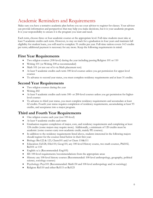# <span id="page-5-0"></span>Academic Reminders and Requirements

Make sure you have a tentative academic plan before you see your advisor to register for classes. Your advisor can provide information and perspectives that may help you make decisions, but it is your academic program. It is your responsibility to ensure it is the program you want and need.

Each term, choose three or four academic courses at the appropriate level. Full-time students must take at least 9 academic credits each term. However, to stay on track for a graduation in four years and maintain full eligibility for student loans, you will need to complete 31 credits per year. Full-time tuition covers 14.5 credits per term; additional payment is necessary for any more. Keep the following requirements in mind:

### **First Year Requirements**

- Two religion courses (100-level) during the year including passing Religion 101 or 110
- Writing 101 (or Writing 100 as recommended)
- Math 101 (or test out of it via Math placement test)
- At least 9 academic credits each term 100-level courses unless you get permission for upper-level courses
- To advance to second year status, you must complete residency requirements and at least 31 credits.

### **Second Year Requirements**

- Two religion courses during the year
- Writing 202
- At least 9 academic credits each term 100- or 200-level courses unless you get permission for higherlevel courses
- To advance to third year status, you must complete residency requirements and accumulate at least 62 credits. Fourth year status requires completion of residency requirements, accumulating at least 93 credits, and acceptance into a major program.

### **Third and Fourth Year Requirements**

- One religion course each year (not 100-level)
- At least 9 academic credits each term
- Graduation requires completion of major, core, and residency requirements and completing at least 124 credits (some majors may require more). Additionally, a minimum of 120 credits must be academic (some courses carry non-academic credit, mainly PE courses).
- In addition to the residency requirements listed above, students interested in the following majors should register for the courses listed below in their first year:
- Biology: Bio122 & 123, Chem101 and/or Chem 110&111
- Education: Ed128, ESci110, Geog110, any 100-level History course, two math courses, Phil102, Rel101 or 110
- English:  $n/a$  (Recommended: Eng105)
- ID: 100-level requirements/recommendations from the appropriate areas
- History: any 100-level history courses (Recommended: 100-level anthropology, geography, political science, sociology courses)
- Psychology: Psyc101 (Recommended: Math130 and 100-level anthropology and/or sociology)
- Religion: Rel110 and either Rel115 or Rel125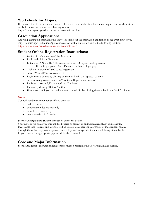### **Worksheets for Majors:**

If you are interested in a particular major, please see the worksheets online. Major requirement worksheets are available on our website at the following location:

http://www.brynathyn.edu/academics/majors/forms.html.

### **Graduation Applications:**

Are you planning on graduating this May? Try filling out the graduation application to see what courses you might be missing. Graduation Applications are available on our website at the following location: http://www.brynathyn.edu/academics/majors/forms/.

### **Student Online Registration Instructions:**

- Go to: https://www.BrynAthynSonis.com
- Login and click on "Students"
- Enter your PIN and ID (PIN is case sensitive, ID requires leading zeroes) o If you forget your ID or PIN, click the link on login page
- Click on "Academics" and select Registration
- Select "View All" to see course list
- Register for a course by clicking on the number in the "spaces" column
- After selecting courses, click on "Continue Registration Process"
- Review courses and, if correct, click "Continue"
- Finalize by clicking "Return" button.
- If a course is full, you can add yourself to a wait list by clicking the number in the "wait" column

### Notes:

You will need to see your advisor if you want to:

- audit a course
- conduct an independent study
- complete an internship
- take more than 14.5 credits

See the Undergraduate Student Handbook online for details.

Your advisor will guide you through the process of setting up an independent study or internship. Please note that students and advisors will be unable to register for internships or independent studies through the online registration system. Internships and independent studies will be registered by the Registrar once the appropriate paperwork has been completed.

### **Core and Major Information**

See the Academic Programs Bulletin for information regarding the Core Program and Majors.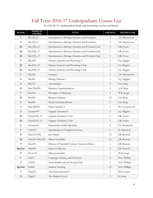# Fall Term 2016-17 Undergraduate Course List

<span id="page-7-0"></span>

| <b>BLOCK</b>            | <b>NAME OF</b><br><b>COURSE</b> | <b>TITLE</b>                                        | <b>CREDITS</b> | <b>INSTRUCTOR</b> |
|-------------------------|---------------------------------|-----------------------------------------------------|----------------|-------------------|
| $\mathbf{1}$            | Bio122_0*                       | Introduction to Biology: Genetics and Evolution     | $\mathfrak{Z}$ | A.F. Bryntesson   |
| $\mathbf{3}$            | Bio122_1*                       | Introduction to Biology: Genetics and Evolution     | 3              | A.F. Bryntesson   |
| 22                      | Bio122L_0*                      | Introduction to Biology: Genetics and Evolution Lab | $\mathbf{1}$   | S.R. Evans        |
| 22                      | Bio122L_1*                      | Introduction to Biology: Genetics and Evolution Lab | $\mathbf{1}$   | S.R. Evans        |
| 24                      | Bio122L_2*                      | Introduction to Biology: Genetics and Evolution Lab | 1              | S.R. Evans        |
| $\overline{4}$          | Bio210*                         | Human Anatomy and Physiology I                      | 3              | E.J. Higgins      |
| 22                      | Bio210L_0*                      | Human Anatomy and Physiology I Lab                  | 1              | E.J. Higgins      |
| 24                      | Bio210L_1*                      | Human Anatomy and Physiology I Lab                  | 1              | E.J. Higgins      |
| 5                       | <b>Bio230</b>                   | Genetics                                            | 3              | A.F. Bryntesson   |
| 2                       | <b>Bio490</b>                   | Biology Seminar I                                   | $\mathbf{1}$   | E.J. Higgins      |
| $\mathbf{3}$            | <b>Bus141</b>                   | Accounting I                                        | 3              | E.S. King         |
| 11                      | Bus/Wrt220                      | <b>Business Communications</b>                      | $\mathfrak{Z}$ | A.N. Rose         |
| $\overline{7}$          | <b>Bus254</b>                   | Principles of Marketing                             | $\mathfrak{Z}$ | W.B. Jungé        |
| 12                      | <b>Bus305</b>                   | <b>Business Seminar</b>                             | 1.5            | E.S. King         |
| $\boldsymbol{2}$        | <b>Bus493</b>                   | Senior Literature Review                            | $\sqrt{2}$     | E.S. King         |
| $\mathbf{3}$            | Bus/ID494                       | Senior Seminar I                                    | $\mathbf{1}$   | D.A. Synnestvedt  |
| $\mathbf{3}$            | Chem $210**$                    | Organic Chemistry I                                 | $\mathfrak{Z}$ | E.J. Higgins      |
| 21                      | $Chem210L_0*$                   | Organic Chemistry I Lab                             | $\mathbf{1}$   | S.R. Evans        |
| 23                      | $Chem210L_1*$                   | Organic Chemistry I Lab                             | 1              | S.R. Evans        |
| 4                       | Comm205                         | Intermediate Public Speaking                        | 3              | S.V. Bernhardt    |
| 5                       | CSci105                         | Introduction to Computer Systems                    | 3              | N. Simonetti      |
| 8                       | Dan132/232                      | Jazz Dance                                          | 1.5            | J.R. Bostock      |
| 12                      | Dan160/260/260                  | Dance Ensemble                                      | 1.5            | J.R. Bostock      |
| $\boldsymbol{9}$        | Dan241                          | History of Twentieth-Century American Dance         | $\mathfrak{Z}$ | J.R. Bostock      |
| Special                 | Dan493                          | Senior Lit Review                                   | $\mathbf{2}$   | J.R. Bostock      |
| 9                       | Econ131                         | Macroeconomics                                      | $\mathfrak{Z}$ | W.B. Jungé        |
| $\mathbf{1}$            | Ed217                           | Language, Literacy, and Numeracy                    | $\mathfrak{Z}$ | N.G. Phillips     |
| $\overline{\mathbf{4}}$ | Ed322                           | Social Studies and the Young Child                  | $\mathfrak{Z}$ | N.G. Phillips     |
| Special                 | Ed402                           | <b>Student Teaching</b>                             | 12             | N.G. Phillips     |
| 3                       | Eng218                          | American Literature I                               | 3              | R.S. Cooper       |
| $\bf 8$                 | Eng367                          | The Modern Novel                                    | $\mathfrak{Z}$ | K. King           |

As of 8/24/16. (Independent Study and Internship courses not listed).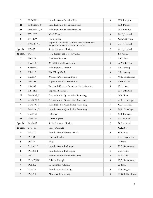| $\overline{\mathbf{3}}$ | EnSci105*           | Introduction to Sustainability                                                        | $\mathfrak{Z}$              | E.R. Potapov       |
|-------------------------|---------------------|---------------------------------------------------------------------------------------|-----------------------------|--------------------|
| 21                      | EnSci105L_0*        | Introduction to Sustainability Lab                                                    | $\mathbf{1}$                | E.R. Potapov       |
| 23                      | EnSci105L_1*        | Introduction to Sustainability Lab                                                    | $\mathbf{1}$                | E.R. Potapov       |
| 6                       | FA120**             | Metal Work I                                                                          | $\mathfrak{Z}$              | M. Gyllenhaal      |
| 6                       | FA125**             | Photography                                                                           | $\mathfrak{Z}$              | C.K. Orthwein      |
| $\overline{\mathbf{4}}$ | FA213/313           | Topics in Twentieth-Century Architecture: Bryn<br>Athyn's National Historic Landmarks | 3                           | M. Gyllenhaal      |
| Special                 | FA493               | Senior Literature Review                                                              | $\overline{2}$              | M. Gyllenhaal      |
| Special                 | FE1                 | Field Experience I. Observation                                                       | $\mathfrak{Z}$              | S.J. Wong          |
| 7                       | <b>FYS101</b>       | First Year Seminar                                                                    | 1                           | L.C. Nash          |
| $\overline{4}$          | Geog110             | World Regional Geography                                                              | $\mathfrak{Z}$              | A. Yardumian       |
| $\overline{\mathbf{4}}$ | Germ101             | Introductory German I                                                                 | 3                           | S.B. Lawing        |
| 2                       | Hist112             | The Viking World                                                                      | $\mathfrak{Z}$              | S.B. Lawing        |
| 2                       | Hist257             | Women in Classical Antiquity                                                          | $\mathfrak{Z}$              | W.E. Closterman    |
| 9                       | Hist305             | Topics in History: Revolution                                                         | 3                           | DGR & WEC          |
| $\overline{7}$          | Hist <sub>330</sub> | Twentieth-Century American History Seminar                                            | $\mathfrak{Z}$              | D.G. Rose          |
| 6                       | HSoc401             | Capstone Seminar I                                                                    | $\mathfrak{Z}$              | A. Yardumian       |
| 22                      | Math095_0           | Preparation for Quantitative Reasoning                                                | $\mathbf{1}$                | A.N. Rose          |
| 9                       | Math095_1           | Preparation for Quantitative Reasoning                                                | 1                           | M.T. Genzlinger    |
| $\overline{4}$          | $Math101_0$         | Introduction to Quantitative Reasoning                                                | $\mathfrak{Z}$              | G. McMackin        |
| $\mathbf{3}$            | Math101_2           | Introduction to Quantitative Reasoning                                                | $\mathfrak{Z}$              | M.T. Genzlinger    |
| 1                       | Math150             | Calculus I                                                                            | $\overline{4}$              | C.B. Bongers       |
| 23                      | Math230             | Linear Algebra                                                                        | 3                           | N. Simonetti       |
| Special                 | Math493             | Senior Literature Review                                                              | 2                           | N. Simonetti       |
| Special                 | Mus100              | College Chorale                                                                       | $\mathbf{1}$                | G.T. Bier          |
| 4                       | Mus110              | Introduction to Western Music                                                         | $\mathfrak{Z}$              | G.T. Bier          |
| $\overline{7}$          | <b>PE103</b>        | Life and Health                                                                       | $\mathbf{1}$                | H.D. Bryntesson    |
| 5                       | <b>PE133</b>        | Yoga                                                                                  | $\mathbf{1}$                | A. Irwin           |
| $\overline{\mathbf{4}}$ | Phil102_0           | Introduction to Philosophy                                                            | $\mathfrak{Z}$              | D.A. Synnestvedt   |
| 5                       | Phil102_1           | Introduction to Philosophy                                                            | $\mathfrak{Z}$              | M.E. Latta         |
| $\mathbf{3}$            | Phil111             | Introduction to Moral Philosophy                                                      | $\mathfrak{Z}$              | M.E. Latta         |
| $\bf 8$                 | Phil/PS220          | Political Thought                                                                     | $\mathfrak{Z}$              | D.A. Synnestvedt   |
| $\overline{\mathbf{4}}$ | PSci212             | <b>International Relations</b>                                                        | $\mathfrak{Z}$              | A. Irwin           |
| 8                       | Psyc101             | <b>Introductory Psychology</b>                                                        | $\mathfrak{Z}$              | K.K. Rogers        |
| $\overline{7}$          | Psyc201             | Abnormal Psychology                                                                   | $\ensuremath{\mathfrak{Z}}$ | E. Goldblatt-Hyatt |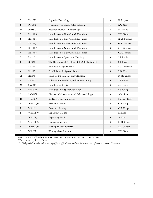| 9                       | Psyc220       | Cognitive Psychology                            | $\overline{3}$ | K. Rogers      |
|-------------------------|---------------|-------------------------------------------------|----------------|----------------|
| 8                       | Psyc341       | Human Development: Adult Altruism               | $\overline{3}$ | L.C. Nash      |
| 11                      | Psyc490       | Research Methods in Psychology                  | 3              | F. Cavallo     |
| 5                       | Rel101_0      | Introduction to New Church Doctrines            | $\mathfrak{Z}$ | T.P. Glenn     |
| $\bf 8$                 | Rel101_1      | Introduction to New Church Doctrines            | $\mathfrak{Z}$ | R.J. Silverman |
| $\overline{2}$          | Rel101_2      | Introduction to New Church Doctrines            | $\mathfrak{Z}$ | G.R. Schnarr   |
| $\mathbf{3}$            | Rel101_3      | Introduction to New Church Doctrines            | $\mathfrak{Z}$ | G.R. Schnarr   |
| $\overline{\mathbf{4}}$ | Rel101_4      | Introduction to New Church Doctrines            | $\mathfrak{Z}$ | G.R. Schnarr   |
| $\overline{2}$          | <b>Rel110</b> | Introduction to Systematic Theology             | $\mathfrak{Z}$ | S.I. Frazier   |
| 5                       | <b>Rel221</b> | The Histories and Prophets of the Old Testament | $\mathfrak{Z}$ | S.I. Frazier   |
|                         | Rel272        | <b>Advanced Religious Ethics</b>                | 3              | R.J. Silverman |
| $\overline{4}$          | Rel283        | Pre-Christian Religious History                 | $\mathfrak{Z}$ | S.D. Cole      |
| 12                      | Rel293        | Comparative Contemporary Religions              | 3              | B. Halterman   |
| 8                       | Rel320        | Judgement, Providence, and Human Society        | 3              | S.I. Frazier   |
| 23                      | Span101       | Introductory Spanish I                          | 3              | M. Nunez       |
| 6                       | SpEd111       | Introduction to Special Education               | $\mathfrak{Z}$ | S.J. Wong      |
| $\mathbf{3}$            | SpEd331       | Classroom Management and Behavioral Support     | 3              | A.N. Rose      |
| 23                      | Thea120       | Set Design and Production                       | $\mathfrak{Z}$ | N. Haus-Roth   |
| 8                       | $Writ100_0$   | Academic Writing                                | $\mathfrak{Z}$ | C.B. Cooper    |
| $\bf 8$                 | Writ100_1     | Academic Writing                                | $\mathfrak{Z}$ | C.B. Cooper    |
| 5                       | $Writ101_0$   | <b>Expository Writing</b>                       | $\mathfrak{Z}$ | K. King        |
| 2                       | Writ101_1     | <b>Expository Writing</b>                       | $\mathfrak{Z}$ | A. Nash        |
| 3                       | Writ101_2     | <b>Expository Writing</b>                       | 3              | C. Hoffman     |
| $\overline{4}$          | Writ202_0     | Writing About Literature                        | $\mathfrak{Z}$ | R.S. Cooper    |
| $\overline{\mathbf{3}}$ | Writ202_1     | Writing About Literature                        | 3              | T.P. Glenn     |

+This course is offered on multiple levels. All students must register on the 100 level.

\*This course requires a lab fee.

*The College administration will make every effort to offer the courses listed, but reserves the right to cancel courses if necessary.*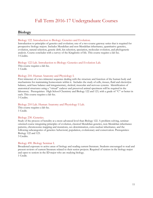# Fall Term 2016-17 Undergraduate Courses

### <span id="page-10-1"></span><span id="page-10-0"></span>**Biology**

### Biology 122. Introduction to Biology: Genetics and Evolution.

Introduction to principles of genetics and evolution; one of a two-course gateway series that is required for prospective biology majors. Includes Mendelian and non-Mendelian inheritance, quantitative genetics, evolution, natural selection, genetic drift, kin selection, speciation, molecular evolution, and phylogenetic analysis. Course concludes with a survey of the Kingdoms of life. This course requires a lab fee. 3 Credits.

Biology 122 Lab. Introduction to Biology: Genetics and Evolution Lab. This course requires a lab fee. 1 Credit.

### Biology 210. Human Anatomy and Physiology I.

First trimester of a two-trimester sequence dealing with the structure and function of the human body and mechanisms for maintaining homeostasis within it. Includes the study of cells, tissues, fluid and electrolyte balance, acid-base balance and integumentary, skeletal, muscular and nervous systems. Identification of anatomical structures using a "virtual" cadaver and preserved animal specimens will be required in the laboratory. Prerequisites: High School Chemistry and Biology 122 and 123, with a grade of "C" or better in each. This course requires a lab fee. 3 Credits.

### Biology 210 Lab. Human Anatomy and Physiology I Lab.

This course requires a lab fee. 1 Credit.

### Biology 230. Genetics.

Study of the process of heredity at a more advanced level than Biology 122. A problem-solving, seminaroriented course integrating principles of evolution, classical Mendelian genetics, non-Mendelian inheritance patterns, chromosome mapping and mutations, sex determination, extra nuclear inheritance, and the following subcategories of genetics: behavioral, population, evolutionary and conservation. Prerequisites: Biology 122 and 123. 3 Credits.

### Biology 490. Biology Seminar I.

<span id="page-10-2"></span>Broadened exposure to active areas of biology and reading current literature. Students encouraged to read and present reviews of current literature related to their senior projects. Required of seniors in the biology major and open to seniors in the ID major who are studying biology. 1 Credit.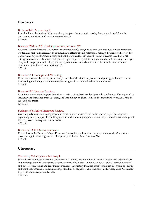### **Business**

### Business 141. Accounting 1.

Introduction to basic financial accounting principles, the accounting cycle, the preparation of financial statements, and the use of computer spreadsheets. 3 Credits.

### Business/Writing 220. Business Communications. (W)

Business Communications is a workplace-oriented course designed to help students develop and refine the written and oral skills necessary to communicate effectively in professional settings. Students will review the purpose and style of business writing and complete a variety of focused writing exercises based on work settings and scenarios. Students will plan, compose, and analyze letters, memoranda, and electronic messages. They will also prepare and deliver brief oral presentations, collaborate with others, and revise business communication. Prerequisite: Writing 101.

3 Credits.

### Business 254. Principles of Marketing.

Focus on customer behavior, promotion, channels of distribution, product, and pricing, with emphasis on formulating marketing plans and strategies in a global and culturally diverse environment. 3 Credits.

### Business 305. Business Seminar.

A seminar course featuring speakers from a variety of professional backgrounds. Students will be expected to interview and introduce these speakers, and lead follow-up discussions on the material they present. May be repeated for credit.

1.5 Credits.

### Business 493. Senior Literature Review.

General guidance in continuing research and review literature related to the chosen topic for the senior capstone project, Support for crafting a sound and interesting argument, resulting in an outline of main points for the project. Prerequisite: Business 390. 2 Credits.

### Business/ID 494. Senior Seminar I.

For seniors in the Business Major. Focus on developing a spiritual perspective on the student's capstone project using Swedenborgian and other principles. Prerequisite: Business 390. 1 Credit.

### <span id="page-11-0"></span>**Chemistry**

### Chemistry 210. Organic Chemistry I.

Second year chemistry course for science majors. Topics include molecular orbital and hybrid orbital theory and bonding, chemical energetics, alkanes, alkenes, halo alkanes, alcohols, alkynes, dienes, stereochemistry, and classes of reactions and reaction mechanisms. Laboratory includes basic techniques in organic chemistry and computer based molecular modeling. First half of sequence with Chemistry 211. Prerequisite: Chemistry 111. This course requires a lab fee.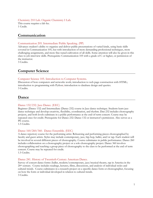Chemistry 210 Lab. Organic Chemistry I Lab. This course requires a lab fee. 1 Credit.

### <span id="page-12-0"></span>**Communication**

#### Communication 205. Intermediate Public Speaking. (PP)

Advances student's ability to organize and deliver public presentations of varied kinds, using basic skills covered in Communication 105, but with introduction of more demanding professional techniques, more challenging assignments, and more fine-tuned cultivation of all skills. Some attention will also be given in this class to job interview skills. Prerequisite: Communication 105 with a grade of C or higher, or permission of the instructor.

3 Credits.

### <span id="page-12-1"></span>**Computer Science**

#### Computer Science 105. Introduction to Computer Systems.

Discussion of how computers and networks work; introduction to web page construction with HTML; introduction to programming with Python; introduction to database design and queries. 3 Credits.

### <span id="page-12-2"></span>**Dance**

#### Dance 132/232. Jazz Dance. (EEC)

Beginner (Dance 132) and Intermediate (Dance 232) course in Jazz dance technique. Students learn jazz dance technique and develop creativity, flexibility, coordination, and rhythm. Dan 232 includes choreography projects, and both levels culminate in a public performance at the end-of-term concert. Course may be repeated once for credit. Prerequisite for Dance 232: Dance 132 or instructor's permission. Also serves as a PE course.

1.5 Credits.

#### Dance 160/260/360. Dance Ensemble. (EEC)

A dance repertory course for the performing artist. Rehearsing and performing pieces choreographed by faculty and guest artists. Styles may include contemporary, jazz, hip-hop, ballet, and/or tap. Each student will be involved in several different pieces of choreography. Course culminates in public performance. Dance 260 includes collaboration on a choreography project or a solo choreography project. Dance 360 involves choreographing and teaching a group piece of choreography to the class to be performed at the end of term concert. Course may be repeated for credit. 1.5 Credits.

#### Dance 241. History of Twentieth-Century American Dance.

Survey of concert dance forms (ballet, modern/contemporary, jazz/musical theatre, tap in America in the 20th century. Course includes readings, lectures, films, discussions, and analysis of individual styles and cultural trends. Course culminates in a research project on a specific dance form or choreographer, focusing on how the form or individual developed in relation to cultural trends. 3 Credits.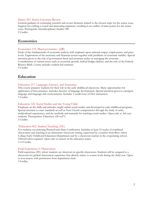### Dance 493. Senior Literature Review.

General guidance in continuing research and review literature related to the chosen topic for the senior essay. Support for crafting a sound and interesting argument, resulting in an outline of main points for the senior essay. Prerequisite: Interdisciplinary Studies 390. 2 Credits.

### <span id="page-13-0"></span>**Economics**

### Economics 131. Macroeconomics. (QR)

Study of the fundamentals of economic analysis with emphasis upon national output, employment, and price levels. Exploration of the monetary and financial system together with problems of economic stability. Special attention given to the role of government fiscal and monetary policy in managing the economy. Consideration of current issues such as economic growth, federal budget deficits, and the role of the Federal Reserve Bank. Course includes student-led seminars. 3 Credits.

### <span id="page-13-1"></span>**Education**

### Education 217. Language, Literacy, and Numeracy.

This course prepares students for their role in the early childhood classroom. Many opportunities for application of best practices. Includes theories of language development. Special attention given to emergent language and language-rich environments. Includes 1 credit hour of ELL instruction. 3 Credits.

### Education 322. Social Studies and the Young Child.

Emphasis on the skills and attitudes taught within social studies and developed in early childhood programs. Special attention to state standards as well as New Church competencies through the study of units, multicultural experiences, and the methods and materials for teaching social studies. Open only to 3rd year students. Prerequisites: Education 128 or271. 3 Credits.

#### \*Education 402. Student Teaching. (EE)

For students not pursuing Pennsylvania State Certification. Includes at least 12 weeks of combined observation and teaching in an elementary classroom setting, supervised by a teacher from Bryn Athyn College Early Childhood Education Department and by a classroom teacher in the cooperating school. Offered when required. Open only to seniors in the education major. 3-12 Credits.

#### Field Experience I: Observation.

Field experience (FE) where students are observers in specific classrooms. Students will be assigned to a classroom for guided observation experience that directly relates to course work during the third year. Open to non-majors with permission from department chair. 3 Credits.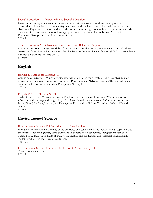### Special Education 111. Introduction to Special Education.

Every learner is unique, and some are unique in ways that make conventional classroom processes inaccessible. Introduction to the various types of learners who will need instruction and nurturing in the classroom. Exposure to methods and materials that may make an approach to these unique learners, a joyful discovery of the fascinating range of learning styles that are available to human beings. Prerequisite: Education 128 or permission of Department Chair. 3 Credits.

### Special Education 331. Classroom Management and Behavioral Support.

Addresses classroom management skills of how to foster a positive learning environment; plan and deliver assessment-driven instruction; implement Positive Behavior Intervention and Support (PBIS); and complete a Functional Behavioral Analysis (FBA). 3 Credits.

### <span id="page-14-0"></span>**English**

### English 218. American Literature I.

Chronological survey of 19th-Century American writers up to the rise of realism. Emphasis given to major figures in the American Renaissance: Hawthorne, Poe, Dickinson, Melville, Emerson, Thoreau, Whitman. Some lesser known writers included. Prerequisite: Writing 101. 3 Credits.

### English 367. The Modern Novel.

Study of selected early 20<sup>th</sup>-century novels. Emphasis on how these works reshape 19<sup>th</sup>-century forms and subjects to reflect changes (demographic, political, social) in the modern world. Includes such writers as James, Woolf, Faulkner, Hurston, and Hemingway. Prerequisites: Writing 202 and any 200-level English course.

3 Credits.

### <span id="page-14-1"></span>**Environmental Science**

### Environmental Science 105. Introduction to Sustainability.

Introductory cross-disciplinary study of the principles of sustainability in the modern world. Topics include: the limits to economic growth, demography and its constraints on economics, ecological implications of human population growth, limits of energy consumption and production, and ecological principles in the modern world. This course requires a lab fee.

3 Credits.

### Environmental Science 105 Lab. Introduction to Sustainability Lab.

<span id="page-14-2"></span>This course requires a lab fee. 1 Credit.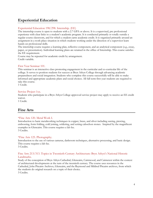### **Experiential Education**

### Experiential Education 198/298. Internship. (EE)

The internship course is open to students with a 2.7 GPA or above. It is a supervised, pre professional experience with clear links to a student's academic program. It is conducted primarily or totally outside a regular course classroom, and for which a student earns academic credit. It is organized primarily around an assignment in a work-place situation in which students working under the direction of a supervisor learn hands-on professional skills.

The internship course requires a learning plan, reflective component, and an analytical component (e.g., essay, paper, or presentation). Individual learning plans are retained in the office of Internship. This course satisfies the EE requirement.

Course may be repeated for academic credit by arrangement. Credit variable.

### First Year Seminar 101.

This seminar is an interactive class promoting engagement in the curricular and co-curricular life of the college. It serves to position students for success at Bryn Athyn College through advancing academic preparedness and social integration. Students who complete this course successfully will be able to make informed and appropriate academic plans and social choices. All fall term first year students are required to take this course.

1 Credit.

### Service Project 1xx.

Students who participate in a Bryn Athyn College approved service project may apply to receive an EE credit waiver.

1 Credit.

### <span id="page-15-0"></span>**Fine Arts**

### \*Fine Arts 120. Metal Work I.

Introduction to basic metalworking techniques in copper, brass, and silver including sawing, piercing, embossing, form folding, cold joining, soldering, and setting cabochon stones. Inspired by the magnificent examples in Glencairn. This course requires a lab fee. 3 Credits.

### \*Fine Arts 125. Photography.

Introduction to the use of various cameras, darkroom techniques, alternative processing, and basic design. This course requires a lab fee.

3 Credits.

### Fine Arts 213/313. Topics in Twentieth-Century Architecture: Bryn Athyn's National Historic Landmarks.

Study of the conception of Bryn Athyn Cathedral, Glencairn, Cairnwood, and Cairncrest within the context of architectural developments at the turn of the twentieth century. The course uses resources in the Cathedral, John Pitcairn Archives, Glencairn, and the Raymond and Mildred Pitcairn archives, from which the students do original research on a topic of their choice. 3 Credits.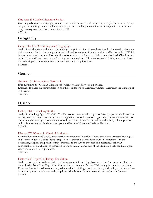#### Fine Arts 493. Senior Literature Review.

General guidance in continuing research and review literature related to the chosen topic for the senior essay. Support for crafting a sound and interesting argument, resulting in an outline of main points for the senior essay. Prerequisite: Interdisciplinary Studies 390. 2 Credits.

### <span id="page-16-0"></span>**Geography**

### Geography 110. World Regional Geography.

Study of world regions with emphasis on the geographic relationships—physical and cultural—that give them their character. Emphasizes the political and cultural formations of human societies. Who lives where? Which languages are spoken where? How did the nations of the world arrive at their present borders? Why do some parts of the world see constant conflict; why are some regions of disputed ownership? Why are some places more developed than others? Focus on familiarity with map locations. 3 Credits.

### <span id="page-16-1"></span>**German**

### German 101. Introductory German I.

Introduction to the German language for students without previous experience.

Emphasis is placed on communication and the foundations of German grammar. German is the language of instruction.

3 Credits.

### <span id="page-16-2"></span>**History**

### History 112. The Viking World.

Study of the Viking Age, c. 750-1050 CE. This course examines the impact of Viking expansion in Europe as raiders, traders, conquerors, and settlers. Using written as well as archaeological sources, attention is paid not only to the chronology of events but also to the consideration of Norse values and beliefs, cultural practices and societal structures. Students participate in Glencairn Museum's Medieval Festival. 3 Credits.

### History 257. Women in Classical Antiquity.

Examination of the social roles and experiences of women in ancient Greece and Rome using archaeological and textual evidence. Topics include stages of life, women's occupations, women's experiences in the household, religion, and public settings, women and the law, and women and medicine. Particular consideration of the challenges presented by the ancient evidence and of the distinction between ideological views and actual lived experiences.

3 Credits.

### History 305. Topics in History. Revolution.

Students take part in two historical role-playing games informed by classic texts: the American Revolution as it unfolded in New York City, 1775-1776 and the events in the Paris of 1791 during the French Revolution. Focus on developing skills—speaking, writing, critical thinking, problem solving, leadership, and teamwork in order to prevail in elaborate and complicated simulations. Open to second-year students and above. 3 Credits.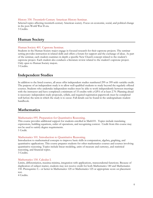### History 330. Twentieth-Century American History Seminar.

Selected topics affecting twentieth-century American society. Focus on economic, social, and political change in the post-World War II era.

3 Credits.

### <span id="page-17-0"></span>**Human Society**

### Human Society 401. Capstone Seminar.

Students in the Human Society major engage in focused research for their capstone projects. The seminar setting provides instruction in related skills and offers a forum for support and the exchange of ideas. As part of the seminar, each student examines in depth a specific New Church concept related to the student's capstone project. Each student also conducts a literature review related to the student's capstone project. Only open to Human Society majors.

3 Credits.

### <span id="page-17-1"></span>**Independent Studies**

In addition to the listed courses, all areas offer independent studies numbered 299 or 399 with variable credit. The purpose of an independent study is to allow well-qualified students to study beyond the regularly offered courses. Students who undertake independent studies must be able to work independently between meetings with the instructor and have completed a minimum of 33 credits with a GPA of at least 2.70. Planning ahead is necessary: independent study proposals, syllabi, and required registration paperwork must be completed well before the term in which the study is to occur. Full details can be found in the undergraduate student handbook.

### <span id="page-17-2"></span>**Mathematics**

### Mathematics 095. Preparation for Quantitative Reasoning.

This course provides additional support for students enrolled in Math101. Topics include translating expressions, building equations, order of operations, and recognizing context. Credit from this course may not be used to satisfy degree requirements. 1 Credit.

### Mathematics 101. Introduction to Quantitative Reasoning.

Introduction to mathematical concepts to improve basic skills in computation, algebra, graphing, and quantitative applications. This course prepares students for other mathematics courses and courses involving quantitative reasoning. Topics include linear modeling, units of measure and currency, and statistical reasoning, and financial topics.

3 Credits.

### Mathematics 150. Calculus I.

Limits, differentiation, maxima-minima, integration with applications, transcendental functions. Because of duplication of subject matter, students may not receive credit for both Mathematics 140 and Mathematics 150. Prerequisite: C– or better in Mathematics 120 or Mathematics 125 or appropriate score on placement test.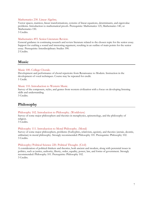### Mathematics 230. Linear Algebra.

Vector spaces, matrices, linear transformations, systems of linear equations, determinants, and eigenvalue problems. Introduction to mathematical proofs. Prerequisite: Mathematics 125, Mathematics 140, or Mathematics 150.

3 Credits.

#### Mathematics 493. Senior Literature Review.

General guidance in continuing research and review literature related to the chosen topic for the senior essay. Support for crafting a sound and interesting argument, resulting in an outline of main points for the senior essay. Prerequisite: Interdisciplinary Studies 390. 2 Credits.

<span id="page-18-0"></span>**Music**

### Music 100. College Chorale.

Development and performance of choral repertoire from Renaissance to Modern. Instruction in the development of vocal techniques. Course may be repeated for credit. 1 Credit.

### Music 110. Introduction to Western Music.

Survey of the composers, styles, and genres from western civilization with a focus on developing listening skills and understanding.

3 Credits.

### <span id="page-18-1"></span>**Philosophy**

#### Philosophy 102. Introduction to Philosophy. (Worldview)

Survey of some major philosophers and theories in metaphysics, epistemology, and the philosophy of religion.

3 Credits.

### Philosophy 111. Introduction to Moral Philosophy. (Moral)

Survey of some major philosophers, problems (Euthyphro, relativism, egoism), and theories (aretaic, deontic, utilitarian) in moral philosophy. Strongly recommended: Philosophy 101. Prerequisite: Philosophy 102. 3 Credits.

#### Philosophy/Political Science 220. Political Thought. (Civil)

<span id="page-18-2"></span>A consideration of political thinkers and theories, both ancient and modern, along with perennial issues in politics, such as justice, authority, liberty, order, equality, power, law, and forms of government. Strongly recommended: Philosophy 101. Prerequisite: Philosophy 102. 3 Credits.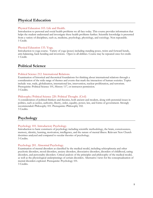### **Physical Education**

### Physical Education 103. Life and Health.

Introduction to personal and social health problems we all face today. This course provides information that helps the student understand and investigate these health problems further. Scientific knowledge is presented from a variety of disciplines, such as, medicine, psychology, physiology, and sociology. Non repeatable. 1 Credit.

### Physical Education 133. Yoga.

Introduction to yoga course. Variety of yoga (poses) including standing poses, twists and forward bends, arm-balancing, back bending and inversions. Open to all abilities. Course may be repeated once for credit. 1 Credit.

### <span id="page-19-0"></span>**Political Science**

### Political Science 212. International Relations.

Examination of historical and theoretical foundations for thinking about international relations through a consideration of the wide range of themes and events that mark the interaction of human societies. Topics include: war, trade, globalization, international law, intervention, nuclear proliferation, and terrorism. Prerequisite: Political Science 101, History 117, or instructor permission. 3 Credits.

### Philosophy/Political Science 220. Political Thought. (Civil)

A consideration of political thinkers and theories, both ancient and modern, along with perennial issues in politics, such as justice, authority, liberty, order, equality, power, law, and forms of government. Strongly recommended: Philosophy 101. Prerequisite: Philosophy 102. 3 Credits.

### <span id="page-19-1"></span>**Psychology**

### Psychology 101. Introductory Psychology.

Introduction to basic constructs of psychology including scientific methodology, the brain, consciousness, memory, identity, learning, motivation, intelligence, and the nature of mental illness. Relevant New Church doctrines analyzed and compared to secular theories of psychology. 3 Credits.

### Psychology 201. Abnormal Psychology.

Examination of mental disorders as classified by the medical model, including schizophrenia and other psychotic disorders, mood disorders, anxiety disorders, dissociative disorders, disorders of childhood, eating disorders, and personality disorders. Critical analysis of the principles and philosophy of the medical model, as well as the physiological underpinnings of certain disorders. Alternative views for the conceptualization of mental disorders explored. Prerequisite: Psychology 101. 3 Credits.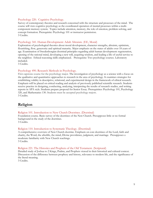### Psychology 220. Cognitive Psychology.

Survey of contemporary theories and research concerned with the structure and processes of the mind. The course will view cognitive psychology as the coordinated operation of mental processes within a multicomponent memory system. Topics include attention, memory, the role of emotion, problem solving, and concept formation. Prerequisite: Psychology 101 or instructor permission. 3 Credits.

#### Psychology 341. Human Development: Adult Altruism. (EE, Moral)

Exploration of psychological theories about moral development, character strengths, altruism, optimism, flourishing, flow, generosity and spiritual maturity. Major emphasis on the states of adults over 18 years of age. Examination of Swedenborgian doctrinal principles regarding adult human development: regeneration, opening of the rational mind, developing a new will, acquiring wisdom, and leading a life of useful service to the neighbor. Ethical reasoning skills emphasized. Prerequisite: Two psychology courses. Laboratory included.

3 Credits.

#### Psychology 490. Research Methods in Psychology.

First capstone course for the psychology major. The investigation of psychology as a science with a focus on the qualitative and quantitative approaches to research in the area of psychology. It examines strategies for establishing validity in descriptive, relational, and experimental design in the framework of ethical research. Emphasis will be placed on critical reading and analysis of previously published scientific research. Students receive practice in designing, conducting, analyzing, interpreting the results of research studies, and writing reports in APA style. Students prepare proposal for Senior Essay. Prerequisites: Psychology 101, Psychology 320, and Mathematics 130. Students must be accepted psychology majors. 3 Credits.

### <span id="page-20-0"></span>**Religion**

#### Religion 101. Introduction to New Church Doctrines. (Doctrinal)

Foundation course. Basic survey of the doctrines of the New Church. Presupposes little or no formal background in the study of the doctrines.

3 Credits.

### Religion 110. Introduction to Systematic Theology. (Doctrinal)

A comprehensive overview of New Church doctrine. Emphasis on core doctrines of the Lord, faith and charity, the Word, the afterlife, the mind, Divine providence, judgment, and marriage. Presupposes a moderate familiarity with New Church teachings. 3 Credits.

#### Religion 221. The Histories and Prophets of the Old Testament. (Scriptural)

Detailed study of Joshua to 2 Kings, Psalms, and Prophets viewed in their historical and cultural context. Discussion of the difference between prophesy and history, relevance to modern life, and the significance of the literal meaning.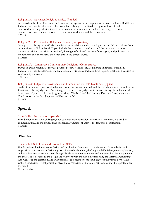### Religion 272. Advanced Religious Ethics. (Applied)

Advanced study of the Ten Commandments as they appear in the religious writings of Hinduism, Buddhism, Judaism, Christianity, Islam, and other world faiths. Study of the literal and spiritual level of each commandment using selected texts from sacred and secular sources. Students encouraged to draw connections between the various levels of the commandments and their own lives. 3 Credits.

### Religion 283. Pre-Christian Religious History. (Comparative)

Survey of the history of pre-Christian religions emphasizing the rise, development, and fall of religions from ancient times to Biblical Israel. Topics include the character of revelation and the response to it in each successive religion, the origin of mankind, the origin of evil, and the rise of monogamy and polygamy, of monotheism and polytheism, and of idolatry in the ancient world. 3 Credits.

### Religion 293. Comparative Contemporary Religions. (Comparative)

Survey of world religions as they are practiced today. Religions studied include Hinduism, Buddhism, Judaism, Christianity, Islam, and the New Church. This course includes three required week-end field trips to various religious centers.

3 Credits.

### Religion 320. Judgment, Providence, and Human Society. (PP, Doctrinal, Applied)

Study of the spiritual process of judgment, both personal and societal, and the roles human choice and Divine Providence play in judgment. Attention given to the role of judgment in human history, the judgments that have occurred, and the changes judgment brings. The books of the Heavenly Doctrines Last Judgment and Continuation of the Last Judgment will be read in full. 3 Credits.

### <span id="page-21-0"></span>**Spanish**

### Spanish 101: Introductory Spanish I

Introduction to the Spanish language for students without previous experience. Emphasis is placed on communication and the foundations of Spanish grammar. Spanish is the language of instruction. 3 Credits.

### <span id="page-21-1"></span>**Theater**

### Theater 120. Set Design and Production. (EE)

Hands-on introduction to scene design and production. Overview of the elements of scene design with emphasis on the process of designing a set. Research, sketching, drafting, model building, color application, and actual set construction within a budget. Students required to understand and use all of the equipment in the theater as it pertains to the design and will work with the play's director using the Mitchell Performing Arts Center as the classroom and will participate as a member of the run-crew for the winter Bryn Athyn College production. Final project involves the construction of the actual set. Course may be repeated once for credit.

Credit variable.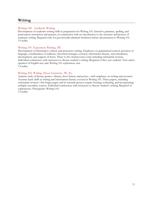### <span id="page-22-0"></span>**Writing**

### Writing 100. Academic Writing.

Development of academic writing skills in preparation for Writing 101. Intensive grammar, spelling, and punctuation instruction and practice, in conjunction with an introduction to the structure and process of academic writing. Required only for provisionally admitted freshmen before advancement to Writing 101. 3 Credits.

### Writing 101. Expository Writing. (W)

Development of informative, critical, and persuasive writing. Emphases on grammatical control, precision of language, consideration of audience, rhetorical strategies, revision, information literacy, and articulation, development, and support of thesis. Three to five formal essays total, including substantial revision. Individual conferences with instructor to discuss student's writing. Required of first year students. Non-native speakers of English may take Writing 101 sophomore year. 3 Credits.

### Writing 202. Writing About Literature. (W, IL)

Analytic study of literary genres—drama, short fiction, and poetry—with emphases on writing and research. Assumes basic skills in writing and information literacy covered in Writing 101. Three papers, including substantial revision. One longer paper and its research process require locating, evaluating, and incorporating multiple secondary sources. Individual conferences with instructor to discuss student's writing. Required of sophomores. Prerequisite: Writing 101.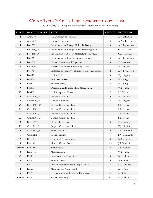# <span id="page-23-0"></span>Winter Term 2016-17 Undergraduate Course List

| <b>BLOCK</b>            | NAME OF COURSE            | <b>TITLE</b>                                        | <b>CREDITS</b> | <b>INSTRUCTOR</b> |
|-------------------------|---------------------------|-----------------------------------------------------|----------------|-------------------|
| $\overline{4}$          | Anth240                   | Anthropology of Religion                            | 3              | A. Yardumian      |
| 6                       | Anth <sub>260</sub>       | Human Evolution                                     | 3              | A. Yardumian      |
| $\mathbf{3}$            | Bio123*                   | Introduction to Biology: Molecular Biology          | $\mathfrak{Z}$ | A.F. Bryntesson   |
| 22                      | Bio123L_0*                | Introduction to Biology: Molecular Biology Lab      | $\mathbf{1}$   | G. McMackin       |
| 24                      | Bio123L_1*                | Introduction to Biology: Molecular Biology Lab      | $\mathbf{1}$   | G. McMackin       |
| $\mathbf{1}$            | <b>Bio124</b>             | Introductory Biology for Nursing Students           | $\mathfrak{Z}$ | A.F. Bryntesson   |
| $\mathbf 5$             | $Bio220*$                 | Human Anatomy and Physiology II                     | $\mathfrak{Z}$ | T. Osazuwa        |
| 24                      | Bio220L*                  | Human Anatomy and Physiology II Lab                 | $\mathbf{1}$   | E.J. Higgins      |
|                         | Bio373                    | Biological Laboratory Techniques: Molecular Biology | $\sqrt{2}$     | A.F. Bryntesson   |
| 6                       | <b>Bio495</b>             | Senior Project                                      | $\mathfrak{Z}$ | E.J. Higgins      |
| $\boldsymbol{6}$        | Bus256                    | Principles of Sales                                 | $\mathfrak{Z}$ | E.S. King         |
| 4                       | Bus301                    | <b>Business Ethics</b>                              | $\mathfrak{Z}$ | E.S. King         |
| $\boldsymbol{9}$        | <b>Bus381</b>             | Operations and Supply Chain Management              | $\mathfrak{Z}$ | W.B. Jungé        |
| 23                      | <b>Bus495</b>             | Senior Capstone Project                             | $\overline{c}$ | S.S. Werner       |
| $\overline{\mathbf{4}}$ | Chem $110$ <sup>-0*</sup> | General Chemistry I                                 | $\mathfrak{Z}$ | E.J. Higgins      |
| 5                       | Chem $110$ _1*            | General Chemistry I                                 | $\mathfrak{Z}$ | E.J. Higgins      |
| 21                      | $Chem10L_0*$              | General Chemistry I Lab                             | $\mathbf{1}$   | S.R. Evans        |
| 21                      | Chem110L_1*               | General Chemistry I Lab                             | $\mathbf{1}$   | S.R. Evans        |
| 23                      | $Chem10L_2*$              | General Chemistry I Lab                             | $\mathbf{1}$   | S.R. Evans        |
| 23                      | Chem110L_3*               | General Chemistry I Lab                             | $\mathbf{1}$   | S.R. Evans        |
| $\overline{2}$          | $Chem211*$                | Organic Chemistry II                                | $\mathfrak{Z}$ | E.J. Higgins      |
| 23                      | Chem211L*                 | Organic Chemistry II Lab                            | $\mathbf{1}$   | E.J. Higgins      |
| $\overline{\mathbf{4}}$ | $Comm105_0$               | Public Speaking                                     | $\mathfrak{Z}$ | S.V. Bernhardt    |
| 5                       | $Comm105_1$               | Public Speaking                                     | $\mathfrak{Z}$ | S.V. Bernhardt    |
| $\sqrt{7}$              | CSci180                   | Structured Programming                              | $\mathfrak{Z}$ | N. Simonetti      |
| 8                       | Dan130                    | Musical Theater Dance                               | 1.5            | J.R. Bostock      |
| Special                 | Dan495                    | Senior Essay                                        | $\overline{2}$ | J.R. Bostock      |
| $\bf 8$                 | Econ131                   | Macroeconomics                                      | 3              | W.B. Jungé        |
| 23                      | Ed201                     | Foundations of Education                            | $\mathfrak{Z}$ | N.G. Phillips     |
| 9                       | Ed202                     | Moral Education                                     | 3              | A.N. Rose         |
| $\mathbf{1}$            | Ed218                     | Literary Instruction for Young Learners             | $\mathfrak{Z}$ | N.G. Phillips     |
| $\overline{\mathbf{4}}$ | Ed323                     | Math and the Young Child                            | 3              | A.N. Rose         |
| $\boldsymbol{6}$        | Ed333                     | Seminar on Art and Creative Expression              | 1.5            | L. Odhner         |
| Special                 | Ed402                     | <b>Student Teaching</b>                             | 12             | N.G. Phillips     |

As of 11/28/16. (Independent Study and Internship courses not listed).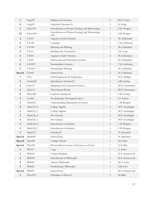| 3                       | Eng 105             | Madness in Literature                                   | $\mathfrak{Z}$              | R.S. Cooper      |
|-------------------------|---------------------|---------------------------------------------------------|-----------------------------|------------------|
| 8                       | Eng219              | American Literature II                                  | 3                           | K. King          |
| $\mathbf{1}$            | ESci110*            | Introduction to Physical Geology and Meteorology        | $\mathfrak{Z}$              | E.R. Potapov     |
| 22                      | ESci110L*           | Introduction to Physical Geology and Meteorology<br>Lab | 1                           | E.R. Potapov     |
| $\overline{\mathbf{4}}$ | FA101               | Aegean to Early Christian                               | $\mathfrak{Z}$              | M. Gyllenhaal    |
| 6                       | FA130*              | Ceramics                                                | 3                           | C.K. Orthwein    |
| 6                       | FA140*              | Drawing and Painting                                    | $\mathfrak{Z}$              | M. Gyllenhaal    |
| 9                       | FA141               | Building Arts Foundation                                | 3                           | J.K. Leap        |
| $\overline{\mathbf{4}}$ | FA201               | Aegean to Early Christian                               | $\mathfrak{Z}$              | M. Gyllenhaal    |
| $\overline{2}$          | FA210               | Nineteenth and Twentieth Centuries                      | $\mathfrak{Z}$              | M. Gyllenhaal    |
| 6                       | FA230**             | Intermediate Ceramics                                   | $\mathfrak{Z}$              | C.K. Orthwein    |
| 6                       | FA240**             | Intermediate Painting                                   | $\mathfrak{Z}$              | M. Gyllenhaal    |
| Special                 | FA495               | Senior Essay                                            | 2                           | M. Gyllenhaal    |
| 7                       | FE <sub>2</sub>     | Field Experience II: Exploration                        | $\mathfrak{Z}$              | N.G. Phillips    |
| $\boldsymbol{2}$        | Germ102             | Introductory German II                                  | $\mathfrak{Z}$              | S.B. Lawing      |
| $\boldsymbol{2}$        | Grk110              | Beginning New Testament Greek I                         | $\mathfrak{Z}$              | W.E. Closterman  |
| 5                       | Hist114             | The Classical World                                     | $\mathfrak{Z}$              | W.E. Closterman  |
| 9                       | HSoc402             | Capstone Seminar II                                     | $\mathfrak{Z}$              | S.B. Lawing      |
| 5                       | Lat250              | Swedenborg's Theological Latin I                        | $\mathfrak{Z}$              | S.I. Frazier     |
| 4                       | Math102             | Understanding Mathematics in Society                    | 3                           | C.B. Bongers     |
| 2                       | Math115_0           | College Algebra                                         | $\mathfrak{Z}$              | M.T. Genzlinger  |
| 3                       | Math115_1           | College Algebra                                         | $\mathfrak{Z}$              | M.T. Genzlinger  |
| $\boldsymbol{2}$        | Math120_0           | Pre-Calculus                                            | $\overline{4}$              | M.T. Genzlinger  |
| 3                       | Math120_1           | Pre-Calculus                                            | $\overline{4}$              | M.T. Genzlinger  |
| 3                       | Math130_0           | Introduction to Statistics                              | $\overline{4}$              | C.B. Bongers     |
| 3                       | Math130_1           | Introduction to Statistics                              | $\overline{4}$              | C.B. Bongers     |
| 5                       | Math151             | Calculus II                                             | $\overline{4}$              | N. Simonetti     |
| Special                 | Math495             | Senior Essay                                            | $\mathbf{2}$                | N. Simonetti     |
| Special                 | Mus100              | College Chorale                                         | $\mathbf{1}$                | G.T. Bier        |
| Special                 | Mus185              | Private Music Lessons, Orchestras, or Choirs            | 1                           | G.T. Bier        |
| $\boldsymbol{6}$        | <b>PE133</b>        | Yoga                                                    | $\mathbf{1}$                | A. Irwin         |
| $\mathbf{3}$            | Phil101             | Critical Thinking                                       | 3                           | D.A. Synnestvedt |
| 4                       | Phil102             | Introduction to Philosophy                              | $\mathfrak{Z}$              | D.A. Synnestvedt |
| 6                       | Phil210             | Ancient Philosophy                                      | $\mathfrak{Z}$              | M. E. Latta      |
| 4                       | Phil <sub>321</sub> | Swedenborg's Philosophy                                 | $\ensuremath{\mathfrak{Z}}$ | S.D. Cole        |
| Special                 | Phil495             | Senior Essay                                            | $\mathfrak{Z}$              | D.A. Synnestvedt |
| $\mathbf{3}$            | Phys210*            | Principles of Physics I                                 | $\mathfrak{Z}$              | M. Blair         |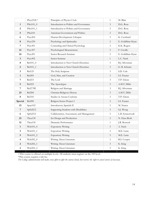|                         | Phys210L*     | Principles of Physics I Lab               | $\mathbf{1}$   | M. Blair           |
|-------------------------|---------------|-------------------------------------------|----------------|--------------------|
| 1                       | PSci101_0     | Introduction to Politics and Governance   | $\mathfrak{Z}$ | D.G. Rose          |
| $\boldsymbol{2}$        | PSci101_1     | Introduction to Politics and Governance   | $\mathfrak{Z}$ | D.G. Rose          |
| 5                       | PSci210       | American Government and Politics          | $\mathfrak{Z}$ | D.G. Rose          |
| 6                       | Psyc204       | Human Development: Lifespan               | $\mathfrak{Z}$ | K. Cronlund        |
| 8                       | Psyc230       | Psychology and Spirituality               | $\mathfrak{Z}$ | E. Goldblatt-Hyatt |
| 7                       | Psyc301       | Counseling and Clinical Psychology        | $\mathfrak{Z}$ | K.K. Rogers        |
| 12                      | Psyc307       | Psychological Measurement                 | $\mathfrak{Z}$ | F. Cavallo         |
| 24                      | Psyc491       | Senior Research Seminar                   | $\mathfrak{Z}$ | E. Goldblatt-Hyatt |
| $\mathbf{3}$            | Psyc492       | Senior Seminar                            | $\mathbf{1}$   | L.C. Nash          |
| 8                       | Rel101_0      | Introduction to New Church Doctrines      | $\mathfrak{Z}$ | R.J. Silverman     |
| $\boldsymbol{2}$        | Rel101_1      | Introduction to New Church Doctrines      | $\mathfrak{Z}$ | G. R. Schnarr      |
| 3                       | <b>Rel125</b> | The Holy Scripture                        | $\mathfrak{Z}$ | S.D. Cole          |
| $\mathbf{1}$            | Rel205        | God, Man, and Creation                    | $\mathfrak{Z}$ | S.I. Frazier       |
| 7                       | Rel215        | The Lord                                  | $\mathfrak{Z}$ | T.P. Glenn         |
| 5                       | Rel223        | The Apocalypse                            | $\mathfrak{Z}$ | A.M.T. Dibb        |
| 7                       | Rel273W       | Religion and Marriage                     | 3              | R.J. Silverman     |
| 23                      | <b>Rel284</b> | Christian Religious History               | $\mathfrak{Z}$ | A.M.T. Dibb        |
| 8                       | Rel310        | Studies in Arcana Coelestia               | $\mathfrak{Z}$ | T.P. Glenn         |
| Special                 | Rel490        | Religion Senior Project I                 | $\mathfrak{Z}$ | S.I. Frazier       |
| 23                      | Span102       | Introductory Spanish II                   | $\mathfrak{Z}$ | M. Nunez           |
| $\overline{7}$          | SpEd212       | Supporting Students with Disabilities     | $\mathfrak{Z}$ | S.J. Wong          |
| 6                       | SpEd312       | Collaboration, Assessment, and Management | $\mathfrak{Z}$ | L.B. Synnestvedt   |
| 23                      | Thea130       | Set Design and Production                 | $\mathfrak{Z}$ | N. Haus-Roth       |
| 12                      | Thea150       | Dramatic Performance                      | $\mathbf{1}$   | J.R. Bostock       |
| $\mathbf{1}$            | $Writ101_0$   | <b>Expository Writing</b>                 | $\mathfrak{Z}$ | A. Nash            |
| 3                       | Writ101_1     | <b>Expository Writing</b>                 | 3              | M.E. Latta         |
| $5\overline{)}$         | Writ101_2     | <b>Expository Writing</b>                 | $\mathfrak{Z}$ | M.E. Latta         |
| $\overline{\mathbf{4}}$ | Writ202_0     | Writing About Literature                  | $\mathfrak{Z}$ | R.S. Cooper        |
| $\boldsymbol{2}$        | Writ202_1     | Writing About Literature                  | $\mathfrak{Z}$ | K. King            |
| $\mathbf{2}$            | Writ202_2     | Writing About Literature                  | $\mathfrak{Z}$ | K. King            |

+This course is offered on multiple levels. All students must register on the 100 level.

\*This course requires a lab fee.

*The College administration will make every effort to offer the courses listed, but reserves the right to cancel courses if necessary.*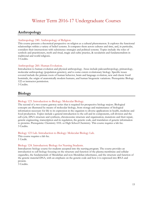## Winter Term 2016-17 Undergraduate Courses

### <span id="page-26-1"></span><span id="page-26-0"></span>**Anthropology**

### Anthropology 240. Anthropology of Religion.

This course presents a theoretical perspective on religion as a cultural phenomenon. It explores the functional relationships within a variety of belief systems. It compares them across cultures and time, and, in particular, considers their intersections with subsistence strategies and political systems. Topics include: the roles of symbols and practitioners, myth and ritual, magic and cultic practice, & secularism and fundamentalism in traditional and world religions.

3 Credits.

### Anthropology 260. Human Evolution.

Introduction to human evolution and physical anthropology. Areas include paleoanthropology, primatology, molecular anthropology (population genetics), and to some extent evolutionary biology. Specific issues covered include the primate roots of human behavior, brain and language evolution, new and classic fossil hominids, the origin of anatomically modern humans, and human biogenetic variations. Prerequisite: Biology 122 or instructor permission.

3 Credits.

### <span id="page-26-2"></span>**Biology**

### Biology 123. Introduction to Biology: Molecular Biology.

The second of a two-course gateway series that is required for prospective biology majors. Biological concepts are illustrated by means of molecular biology, from storage and maintenance of biological information necessary for life to its expression in the organism to diverse applications in health, medicine and food production. Topics include a general introduction to the cell and its components, cell division and the cell cycle, DNA structure and synthesis, chromosome structure and organization, mutations and their repair, genetic engineering, transcription and its regulation, the genetic code, and translation of genetic information to proteins. Prerequisite: Chemistry 101L or High School Chemistry. This course requires a lab fee. 3 Credits.

### Biology 123 Lab. Introduction to Biology: Molecular Biology Lab.

This course requires a lab fee. 1 Credit.

### Biology 124. Introductory Biology for Nursing Students.

Introductory biology course for students accepted into the nursing program. The course provides an introduction to cell biology focusing on the structure and function of the plasma membrane and cellular organelles, the fundamentals of Mendelian and non-Mendelian inheritance, and the structure and function of the genetic material DNA, with an emphasis on the genetic code and how it is expressed into RNA and protein.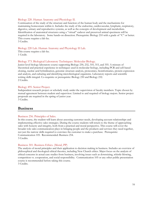### Biology 220. Human Anatomy and Physiology II.

Continuation of the study of the structure and function of the human body and the mechanisms for maintaining homeostasis within it. Includes the study of the endocrine, cardiovascular, lymphatic, respiratory, digestive, urinary and reproductive systems, as well as the concepts of development and metabolism. Identification of anatomical structures using a "virtual" cadaver and preserved animal specimens will be required in the laboratory. Some hands-on dissection. Prerequisite: Biology 210 with a grade of "C" or better. This course requires a lab fee.

3 Credits.

### Biology 220 Lab. Human Anatomy and Physiology II Lab.

This course requires a lab fee. 1 Credit.

### Biology 373. Biological Laboratory Techniques: Molecular Biology.

Junior level biology laboratory course supporting Biology 230, 232, 310, 315, and 355. A mixture of theoretical and practical experience in techniques used in molecular biology, including PCR and cell-based cloning, nucleic acid hybridization, genomic structure analysis, proteomics, bioinformatics, protein expression and analysis, and culturing and identifying microbiological organisms. Laboratory reports and scientific writing skills integral. Co-requisite or prerequisite: Biology 230 and Biology 232. 2 Credits.

### Biology 495. Senior Project.

Independent research project or scholarly study under the supervision of faculty members. Topic chosen by mutual agreement between student and supervisor. Limited to and required of biology majors. Senior project proposals are required in the spring of junior year. 3 Credits.

### <span id="page-27-0"></span>**Business**

#### Business 256. Principles of Sales.

In this course, the student will learn about assessing customer needs, developing account relationships and implementing effective sales strategies. During the course students will return to the theme of approaching sales with honesty and integrity, both from a practical and moral perspective. This course will cover the broader role sales communication plays in bringing people and the products and services they need together, not just the narrow skills required to convince the customer to make a purchase. Prerequisite: Communication 105. Recommended: Business 254. 3 Credits.

### Business 301. Business Ethics. (Moral, PP)

The analysis of moral principles and their application to decision making in business. Includes an overview of philosophical and theological ethical theories, including New Church ethics. Major focus on the analysis of ethical concerns in actual case studies from business, involving issues such as downsizing, whistle-blowing, competition vs. cooperation, and social responsibility. Communication 105 or any other public presentation course is recommended before taking this course.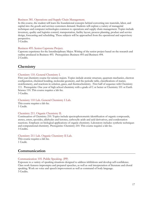#### Business 381. Operations and Supply Chain Management.

In this course, the student will learn the foundational concepts behind converting raw materials, labor, and capital into the goods and services customers demand. Students will explore a variety of managerial techniques and computer technologies common to operations and supply chain management. Topics include inventory, quality and logistics control, transportation, facility layout, process planning, product and service design, forecasting and scheduling. These subjects will be approached from the operational and supervisory perspective.

3 Credits.

#### Business 495. Senior Capstone Project.

Capstone experience for the Interdisciplinary Major. Writing of the senior project based on the research and outline produced in Business 493. Prerequisites: Business 493 and Business 494. 2 Credits.

### <span id="page-28-0"></span>**Chemistry**

#### Chemistry 110. General Chemistry I.

First year chemistry course for science majors. Topics include atomic structure, quantum mechanics, electron configuration, chemical bonding, molecular geometry, and the periodic table, classifications of matter, stoichiometry, and reactions in solution, gases, and thermochemistry. First half of sequence with Chemistry 111. Prerequisite: One year of high school chemistry with a grade of C or better or Chemistry 101 or Earth Science 110. This course requires a lab fee. 3 Credits.

#### Chemistry 110 Lab. General Chemistry I Lab.

This course requires a lab fee. 1 Credit.

#### Chemistry 211. Organic Chemistry II.

Continuation of Chemistry 210. Topics include spectrophotometric identification of organic compounds, arenes, esters, epoxides, aldehydes and ketones, carboxylic acids and acid derivatives, and condensation reactions. Emphasis on biological applications of organic chemistry. Laboratory includes synthetic techniques and computational chemistry. Prerequisite: Chemistry 210. This course requires a lab fee. 3 Credits.

#### Chemistry 211 Lab. Organic Chemistry II Lab.

This course requires a lab fee. 1 Credit.

### <span id="page-28-1"></span>**Communication**

#### Communication 105. Public Speaking. (PP)

Exposure to a variety of speaking situations designed to address inhibitions and develop self-confidence. Class work features impromptu and prepared speeches, as well as oral interpretation of literature and choral speaking. Work on voice and speech improvement as well as command of body language. 3 Credits.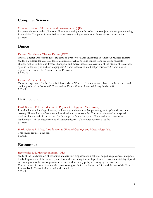### <span id="page-29-0"></span>**Computer Science**

### Computer Science 180. Structured Programming. (QR)

Language elements and applications. Algorithm development. Introduction to object oriented programming. Prerequisite: Computer Science 105 or other programming experience with permission of instructor. 3 Credits.

### <span id="page-29-1"></span>**Dance**

### Dance 130. Musical Theater Dance. (EEC)

Musical Theater Dance introduces students to a variety of dance styles used in American Musical Theatre. Students will learn tap and jazz dance technique as well as specific dances from Broadway musicals choreographed by Robbins, Fosse, Champion, and more. Includes an overview of the history of Broadway, specific to dance styles and choreographers. Course culminates in a final performance. Course may be repeated once for credit. Also serves as a PE course. 1.5 Credits.

### Dance 495. Senior Essay.

Capstone experience for the Interdisciplinary Major. Writing of the senior essay based on the research and outline produced in Dance 493. Prerequisites: Dance 493 and Interdisciplinary Studies 494. 2 Credits.

### <span id="page-29-2"></span>**Earth Science**

### Earth Science 110. Introduction to Physical Geology and Meteorology.

Introduction to mineralogy; igneous, sedimentary, and metamorphic petrology; rock cycle and structural geology. The evolution of continents Introduction to oceanography. The atmosphere and atmospheric motion, climate, and climatic zones. Earth as a part of the solar system. Prerequisite or co-requisite: Mathematics 101 (or placement out of Mathematics101). This course requires a lab fee. 3 Credits.

Earth Science 110 Lab. Introduction to Physical Geology and Meteorology Lab. This course requires a lab fee. 1 Credit.

### <span id="page-29-3"></span>**Economics**

### Economics 131. Macroeconomics. (QR)

Study of the fundamentals of economic analysis with emphasis upon national output, employment, and price levels. Exploration of the monetary and financial system together with problems of economic stability. Special attention given to the role of government fiscal and monetary policy in managing the economy. Consideration of current issues such as economic growth, federal budget deficits, and the role of the Federal Reserve Bank. Course includes student-led seminars. 3 Credits.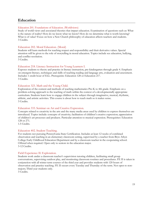### <span id="page-30-0"></span>**Education**

#### Education 201. Foundations of Education. (Worldviews)

Study of world views and associated theories that impact education. Examination of questions such as: What is the nature of reality? How do we know what we know? How do we determine what is worth knowing? What is of value? Focus on how a New Church philosophy of education affects teachers and students. 3 Credits.

### Education 202. Moral Education. (Moral)

Students will learn methods for teaching respect and responsibility and their derivative values. Special attention will be given to the role of storytelling in moral education. Topics include sex education, bullying, and conflict resolution.

3 Credits.

#### Education 218. Literacy Instruction for Young Learners I.

Exposes students to theory and practice in literacy instruction, pre-kindergarten through grade 4. Emphasis on emergent literacy, techniques and skills of teaching reading and language arts, evaluation and assessment. Includes 1 credit hour of ELL. Prerequisite: Education 128 or Education 217. 3 Credits.

### Education 323. Math and the Young Child.

Exploration of the content and methods of teaching mathematics Pre-K to 4th grade. Emphasis on a problem-solving approach to the teaching of math within the context of a developmentally appropriate curriculum. Students learn how to engage children in the subject through imaginative, musical, rhythmic, athletic, and artistic activities. This course is about how to teach math so it makes sense. 3 Credits.

#### Education 333. Seminar on Art and Creative Expression.

Concepts related to creativity in the arts and the many media areas used by children to express themselves are introduced. Topics include: concepts of creativity; facilitation of children's creative expression; appreciation of children's art processes and products. Particular attention to musical expression. Prerequisites: Education 128 or 271.

1.5 Credits.

#### Education 402. Student Teaching.

For students not pursuing Pennsylvania State Certification. Includes at least 12 weeks of combined observation and teaching in an elementary classroom setting, supervised by a teacher from Bryn Athyn College Early Childhood Education Department and by a classroom teacher in the cooperating school. Offered when required. Open only to seniors in the education major. 3-12 Credits.

#### Field Experience II: Exploration.

Students work under a classroom teacher's supervision tutoring children, facilitating small group conversations, supervising outdoor play, and monitoring classroom routines and procedures. FE II is taken in conjunction with all winter term courses of the third year and provides students with 120 hours of observation and practice teaching. FE II occurs every Tuesday and Thursday of the term. Not open to nonmajors; Third year students only. 3 Credits.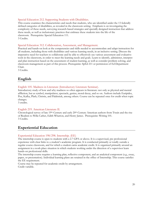### Special Education 212. Supporting Students with Disabilities.

This course examines the characteristics and needs that students, who are identified under the 13 federally defined categories of disabilities, as revealed in the classroom setting. Emphasis is on investigating the complexity of these needs, surveying research-based strategies and specially designed instruction that address these needs, as well as inclusionary practices that embrace these students into the life of the classroom. Prerequisite: Special Education 111. 3 Credits.

### Special Education 312. Collaboration, Assessment, and Management.

Practical and hands-on look at the competencies and skills needed to accommodate and adapt instruction for all students, including those with disabilities and various learning needs, in an inclusive setting. Discuss the imperative need for teachers to collaborate and be able to effectively use various assessment and evaluative tools in the classroom, in order to meet the learning needs and goals. Learn to identify, administer, interpret and plan instruction based on the assessment of student learning, as well as consider problem solving, and classroom management as part of this process. Prerequisite: SpEd 211 or permission of Ed Department Chair.

3 Credits.

### <span id="page-31-0"></span>**English**

### English 105. Madness in Literature (Introductory Literature Seminar).

Introductory study of how and why madness so often appears in literature: not only as physical and mental affliction, but as symbol, manipulator, spectacle, genius, moral decay, and so on. Authors include Euripides, Poe, Kafka, Plath, Christie, and Palahniuk, among others. Course can be repeated once for credit when topic changes.

3 credits.

### English 219. American Literature II.

Chronological survey of late 19th-Century and early 20th-Century American authors from Twain and the rise of Realism to Willa Cather, Edith Wharton, and Henry James. Prerequisite: Writing 101. 3 Credits.

### <span id="page-31-1"></span>**Experiential Education**

#### Experiential Education 198/298. Internship. (EE)

The internship course is open to students with a 2.7 GPA or above. It is a supervised, pre professional experience with clear links to a student's academic program. It is conducted primarily or totally outside a regular course classroom, and for which a student earns academic credit. It is organized primarily around an assignment in a work-place situation in which students working under the direction of a supervisor learn hands-on professional skills.

The internship course requires a learning plan, reflective component, and an analytical component (e.g., essay, paper, or presentation). Individual learning plans are retained in the office of Internship. This course satisfies the EE requirement.

Course may be repeated for academic credit by arrangement. Credit variable.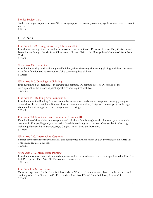### Service Project 1xx.

Students who participate in a Bryn Athyn College approved service project may apply to receive an EE credit waiver.

1 Credit.

### <span id="page-32-0"></span>**Fine Arts**

### Fine Arts 101/201. Aegean to Early Christian. (IL)

Introductory survey of art and architecture covering Aegean, Greek, Etruscan, Roman, Early Christian, and Byzantine art. Study of works from Glencairn's collection. Trip to the Metropolitan Museum of Art in New York.

3 Credits.

### \*Fine Arts 130. Ceramics.

Introduction to clay work including hand building, wheel throwing, slip casting, glazing, and firing processes. Also form function and representation. This course requires a lab fee. 3 Credits.

### \*Fine Arts 140. Drawing and Painting.

Introduction to basic techniques in drawing and painting. Oil painting project. Discussion of the development of the history of painting. This course requires a lab fee. 3 Credits.

### Fine Arts 141. Building Arts Foundation.

Introduction to the Building Arts curriculum by focusing on fundamental design and drawing principles essential to all craft disciplines. Students learn to communicate ideas, design and execute projects through sketches, hand drawings and computer-generated drawings. 3 Credits.

### Fine Arts 210. Nineteenth and Twentieth Centuries. (IL)

Examination of the architecture, sculpture, and painting of the late eighteenth, nineteenth, and twentieth centuries in Europe, England, and America. Special attention given to artists influences by Swedenborg, including Flaxman, Blake, Powers, Page, Gaugin, Inness, Pyle, and Burnham. 3 Credits.

#### \*Fine Arts 230. Intermediate Ceramics.

Further development of individual skills and sensitivities in the medium of clay. Prerequisite: Fine Arts 130. This course requires a lab fee.

3 Credits.

### \*Fine Arts 240. Intermediate Painting.

Introduction of more materials and techniques as well as more advanced use of concepts learned in Fine Arts 140. Prerequisite: Fine Arts 140. This course requires a lab fee. 3 Credits.

#### Fine Arts 495. Senior Essay.

<span id="page-32-1"></span>Capstone experience for the Interdisciplinary Major. Writing of the senior essay based on the research and outline produced in Fine Arts 493. Prerequisites: Fine Arts 493 and Interdisciplinary Studies 494. 2 Credits.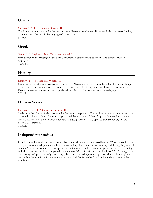### **German**

### German 102. Introductory German II.

Continuing introduction to the German language. Prerequisite: German 101 or equivalent as determined by placement test. German is the language of instruction. 3 Credits.

### <span id="page-33-0"></span>**Greek**

### Greek 110. Beginning New Testament Greek I.

Introduction to the language of the New Testament. A study of the basic forms and syntax of Greek grammar.

3 Credits.

### <span id="page-33-1"></span>**History**

### History 114. The Classical World. (IL)

Historical survey of ancient Greece and Rome from Mycenaean civilization to the fall of the Roman Empire in the west. Particular attention to political trends and the role of religion in Greek and Roman societies. Examination of textual and archaeological evidence. Guided development of a research paper. 3 Credits.

### <span id="page-33-2"></span>**Human Society**

### Human Society 402. Capstone Seminar II.

Students in the Human Society major write their capstone projects. The seminar setting provides instruction in related skills and offers a forum for support and the exchange of ideas. As part of the seminar, students present the results of their research publically and design posters. Only open to Human Society majors. Prerequisite: HSoc 401.

3 Credits.

### <span id="page-33-3"></span>**Independent Studies**

<span id="page-33-4"></span>In addition to the listed courses, all areas offer independent studies numbered 299 or 399 with variable credit. The purpose of an independent study is to allow well-qualified students to study beyond the regularly offered courses. Students who undertake independent studies must be able to work independently between meetings with the instructor and have completed a minimum of 33 credits with a GPA of at least 2.70. Planning ahead is necessary: independent study proposals, syllabi, and required registration paperwork must be completed well before the term in which the study is to occur. Full details can be found in the undergraduate student handbook.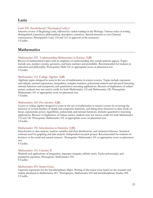### **Latin**

### Latin 250. Swedenborg's Theological Latin I.

Intensive review of Beginning Latin, followed by varied readings in the Writings. Various styles of writing distinguished (expository, philosophical, descriptive, narrative). Special attention to non-Classical constructions. Prerequisites: Latin 110 and 111 or approval of the instructor. 3 Credits.

### <span id="page-34-0"></span>**Mathematics**

### Mathematics 102. Understanding Mathematics in Society. (QR)

Review of mathematical topics with an emphasis on understanding why certain patterns appear. Topics include sets, number systems, geometry, and basic statistics and probability. Recommended for students in education and philosophy. Prerequisite: Math 101 or appropriate score on placement test. 3 Credits.

### Mathematics 115. College Algebra. (QR)

Algebraic topics designed to assist in the use of mathematics in science courses. Topics include exponents and radicals, rational expressions, inequalities, complex numbers, polynomial analysis and advanced factoring, rational functions and asymptotes, and quantitative reasoning applications. Because of duplication of subject matter, students may not receive credit for both Mathematics 115 and Mathematics 120. Prerequisite: Mathematics 101 or appropriate score on placement test. 3 Credits.

### Mathematics 120. Pre-calculus. (QR)

Course in college algebra designed to assist in the use of mathematics in science courses by reviewing the behavior of several families of simple and composite functions, and fitting these functions to data. Study of linear, exponential, power, logarithmic, polynomial, and rational functions. Includes quantitative reasoning applications. Because of duplication of subject matter, students may not receive credit for both Mathematics 115 and 120. Prerequisite: Mathematics 101 or appropriate score on placement test. 3 Credits.

### Mathematics 130. Introduction to Statistics. (QR)

Introduction to data analysis, random variables and their distributions, and statistical inference. Statistical software used for graphing and data analysis. Independent research project. Recommended for students of business or the social and natural sciences. Prerequisite: Mathematics 101 or appropriate score on placement test.

4 Credits.

### Mathematics 151. Calculus II.

Methods and applications of integration, improper integrals, infinite series, Taylor polynomials, and parametric equations. Prerequisite: Mathematics 150. 4 Credits.

#### Mathematics 495. Senior Essay.

Capstone experience for the Interdisciplinary Major. Writing of the senior essay based on the research and outline produced in Mathematics 493. Prerequisites: Mathematics 493 and Interdisciplinary Studies 494. 2 Credits.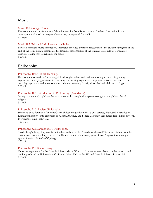### <span id="page-35-0"></span>**Music**

### Music 100. College Chorale.

Development and performance of choral repertoire from Renaissance to Modern. Instruction in the development of vocal techniques. Course may be repeated for credit. 1 Credit.

### Music 185. Private Music Lessons or Choirs.

Privately arranged music instruction. Instructor provides a written assessment of the student's progress at the end of the term. Private lessons are the financial responsibility of the student. Prerequisite: Consent of division. Course may be repeated for credit. 1 Credit.

### <span id="page-35-1"></span>**Philosophy**

### Philosophy 101. Critical Thinking.

Development of students' reasoning skills through analysis and evaluation of arguments. Diagraming arguments, identifying mistakes in reasoning, and writing arguments. Emphasis on issues encountered in everyday experience and in courses across the curriculum, primarily through classical deductive logic. 3 Credits.

### Philosophy 102. Introduction to Philosophy. (Worldview)

Survey of some major philosophers and theories in metaphysics, epistemology, and the philosophy of religion.

3 Credits.

### Philosophy 210. Ancient Philosophy.

Historical consideration of ancient Greek philosophy (with emphasis on Socrates, Plato, and Aristotle) or Roman philosophy (with emphasis on Cicero, Aurelius, and Seneca). Strongly recommended: Philosophy 101. Prerequisite: Philosophy 102.

3 Credits.

### Philosophy 321. Swedenborg's Philosophy.

Swedenborg's thought upward from the human body in his "search for the soul." Main text taken from the sections on Series and Degrees and The Human Soul in *The Economy of the Animal Kingdom*, terminating in applications in *The Rational Psychology*.

3 Credits.

### Philosophy 495. Senior Essay.

<span id="page-35-2"></span>Capstone experience for the Interdisciplinary Major. Writing of the senior essay based on the research and outline produced in Philosophy 493. Prerequisites: Philosophy 493 and Interdisciplinary Studies 494. 3 Credits.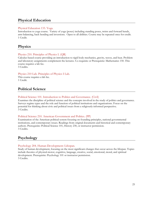### **Physical Education**

### Physical Education 133. Yoga.

Introduction to yoga course. Variety of yoga (poses) including standing poses, twists and forward bends, arm-balancing, back bending and inversions. Open to all abilities. Course may be repeated once for credit. 1 Credit.

### <span id="page-36-0"></span>**Physics**

### Physics 210. Principles of Physics I. (QR)

Calculus-based course providing an introduction to rigid body mechanics, gravity, waves, and heat. Problem and laboratory assignments complement the lectures. Co-requisite or Prerequisite: Mathematics 150. This course requires a lab fee.

3 Credits.

### Physics 210 Lab. Principles of Physics I Lab.

This course requires a lab fee. 1 Credit.

### <span id="page-36-1"></span>**Political Science**

### Political Science 101. Introduction to Politics and Governance. (Civil)

Examines the discipline of political science and the concepts involved in the study of politics and governance. Surveys regime types and the role and function of political institutions and organizations. Focus on the potential for thinking about civic and political issues from a religiously-informed perspective. 3 Credits.

### Political Science 210. American Government and Politics. (PP)

Examination of the American political system focusing on founding principles, national governmental institutions, and contemporary issues. Readings from original documents and historical and contemporary authors. Prerequisite: Political Science 101, History 230, or instructor permission. 3 Credits.

### <span id="page-36-2"></span>**Psychology**

### Psychology 204. Human Development: Lifespan.

Study of human development, focusing on the most significant changes that occur across the lifespan. Topics include theories of physical-motor, cognitive, language, creative, social, emotional, moral, and spiritual development. Prerequisite: Psychology 101 or instructor permission. 3 Credits.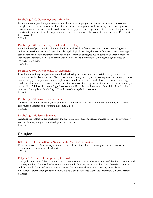### Psychology 230. Psychology and Spirituality.

Examinations of psychological research and theories about people's attitudes, motivations, behaviors, thoughts and feelings in a variety of spiritual settings. Investigations of how therapists address spiritual matters in counseling sessions. Consideration of the psychological experience of the Swedenborgian belief in the afterlife, regeneration, charity, conscience, and the relationship between God and humans. Prerequisite: Psychology 101.

3 Credits.

### Psychology 301. Counseling and Clinical Psychology.

Examination of psychological theories that inform the skills of counselors and clinical psychologists in various professional settings. Topics include psychological theories, the roles of the counselor, listening skills, case conceptualization, treatment methods and intervention strategies. Consideration of what it means to incorporate individual values and spirituality into treatment. Prerequisite: Two psychology courses or instructor permission.

3 Credits.

### Psychology 307. Psychological Measurement.

Introduction to the principles that underlie the development, use, and interpretation of psychological assessment tools. Topics include: Test construction, survey development, scoring, assessment interpretation issues, and psychological assessment applications in industrial, educational, clinical, and research setting. Students will examine the potential and limitations of tests of intelligence, aptitude, achievement, interest, and personality. Additionally, psychological assessment will be discussed in terms of social, legal, and ethical concerns. Prerequisite: Psychology 101 and two other psychology courses. 3 Credits.

#### Psychology 491. Senior Research Seminar.

Capstone for seniors in the psychology major. Independent work on Senior Essay guided by an advisor. Information Literacy and Writing Skills emphasized. 3 Credits.

#### Psychology 492. Senior Seminar.

Capstone for seniors in the psychology major. Public presentation. Critical analysis of ethics in psychology. Career planning and portfolio development. Pass/Fail. 1 Credit.

### <span id="page-37-0"></span>**Religion**

### Religion 101. Introduction to New Church Doctrines. (Doctrinal)

Foundation course. Basic survey of the doctrines of the New Church. Presupposes little or no formal background in the study of the doctrines.

3 Credits.

### Religion 125. The Holy Scripture. (Doctrinal)

The symbolic nature of the Word and the spiritual meaning within. The importance of the literal meaning and its interpretation. The Word in heaven and the church. Dual expressions in the Word. Heresies. The Lord and the Word. The Word in very ancient times. The universal church. The necessity of revelation. Illustrations drawn throughout from the Old and New Testaments. Text: *The Doctrine of the Sacred Scripture*. 3 Credits.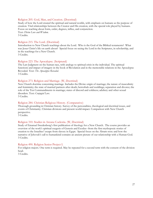### Religion 205. God, Man, and Creation. (Doctrinal)

Study of how the Lord created the spiritual and natural worlds, with emphasis on humans as the purpose of creation. Vital relationships between the Creator and His creation, with the special role played by humans. Focus on teaching about form, order, degrees, influx, and conjunction. Text: *Divine Love and Wisdom*. 3 Credits.

### Religion 215. The Lord. (Doctrinal)

Introduction to New Church teachings about the Lord. Who is the God of the Biblical testaments? What was Jesus Christ's life on earth about? Special focus on seeing the Lord in the Scriptures, in scholarship, and in the teachings for a New Church.

3 Credits.

#### Religion 223. The Apocalypse. (Scriptural)

The Last Judgment on the human race, with analogy to spiritual crisis in the individual. The spiritual functions and impact of imagery in the book of Revelation and in the memorable relations in the Apocalypse Revealed. Text: *The Apocalypse Revealed*. 3 Credits.

#### Religion 273. Religion and Marriage. (W, Doctrinal)

New Church doctrine concerning marriage. Includes the Divine origin of marriage; the nature of masculinity and femininity; the state of married partners after death; betrothals and weddings; separation and divorce; the role of the Ten Commandments in marriage; states of discord and coldness; adultery and other sexual disorders. Text: *Conjugial Love*.

3 Credits.

#### Religion 284. Christian Religious History. (Comparative)

Thorough grounding in Christian history. Survey of the personalities, theological and doctrinal issues, and events of Christianity. Christian divisions and present world-impact. Comparison with New Church perspective.

3 Credits.

#### Religion 310. Studies in Arcana Coelestia. (W, Doctrinal)

Study of Emanuel Swedenborg's first publication of theology for a New Church. The course provides an overview of the work's spiritual exegesis of Genesis and Exodus--from the first mythopoeic stories of creation to the Israelites' escape from slavery in Egypt. Special focus on the Abram story and how the narrative of Jehovah's call to humankind contains an ancient picture of our relationship with a Human God. 3 Credits.

#### Religion 490. Religion Senior Project I.

<span id="page-38-0"></span>For religion majors. One term is required. May be repeated for a second term with the consent of the division head.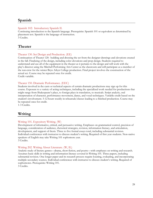### **Spanish**

### Spanish 102: Introductory Spanish II.

Continuing introduction to the Spanish language. Prerequisite: Spanish 101 or equivalent as determined by placement test. Spanish is the language of instruction. 3 Credits.

### <span id="page-39-0"></span>**Theater**

### Theater 130. Set Design and Production. (EE)

Continuation of Theater 120: building and dressing the set from the designer drawings and elevations created in the fall. Finalizing of the design, including color elevations and prop design. Students required to understand and use all of the equipment in the theater as it pertains to the design and will work with the play's director using the Mitchell Performing Arts Center as the classroom and will participate as a member of the run-crew for the winter Bryn Athyn College production. Final project involves the construction of the actual set. Course may be repeated once for credit.

Credit variable.

### Theater 150. Dramatic Performance. (EEC)

Students involved in the casts or technical aspects of certain dramatic productions may sign up for this course. Exposure to a variety of acting techniques, including the specialized work needed for productions that might range from Shakespeare's plays, to foreign plays in translation, to musicals. Script analysis, oral interpretation of character, performance movement, dance, and vocal techniques. Variable credit based on the student's involvement. 5-12 hours weekly in rehearsals/classes leading to a finished production. Course may be repeated once for credit.

1-3 Credits.

### <span id="page-39-1"></span>**Writing**

### Writing 101. Expository Writing. (W)

Development of informative, critical, and persuasive writing. Emphases on grammatical control, precision of language, consideration of audience, rhetorical strategies, revision, information literacy, and articulation, development, and support of thesis. Three to five formal essays total, including substantial revision. Individual conferences with instructor to discuss student's writing. Required of first year students. Non-native speakers of English may take Writing 101 sophomore year. 3 Credits.

#### Writing 202. Writing About Literature. (W, IL)

Analytic study of literary genres—drama, short fiction, and poetry—with emphases on writing and research. Assumes basic skills in writing and information literacy covered in Writing 101. Three papers, including substantial revision. One longer paper and its research process require locating, evaluating, and incorporating multiple secondary sources. Individual conferences with instructor to discuss student's writing. Required of sophomores. Prerequisite: Writing 101.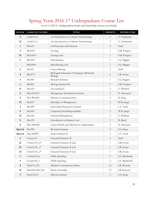# <span id="page-40-0"></span>Spring Term 2016-17 Undergraduate Course List

| <b>BLOCK</b>            | NAME OF COURSE  | <b>TITLE</b>                                           | <b>CREDITS</b> | <b>INSTRUCTOR</b> |
|-------------------------|-----------------|--------------------------------------------------------|----------------|-------------------|
| 9                       | Anth110_0       | An Introduction to Cultural Anthropology               | 3              | A. Yardumian      |
| 12                      | Anth110_1       | An Introduction to Cultural Anthropology               | 3              | A. Yardumian      |
| $\mathbf{1}$            | <b>Bio232</b>   | Cell Structure and Function                            | 3              | Staff             |
| 3                       | Bio235*         | Ecology                                                | 3              | E.R. Potapov      |
| 22                      | Bio235L*        | Ecology Lab                                            | $\mathbf{1}$   | E.R. Potapov      |
| $\sqrt{5}$              | $Bio250*$       | Microbiology                                           | $\mathfrak{Z}$ | E.J. Higgins      |
|                         | Bio250L*        | Microbiology Lab                                       | $\mathbf{1}$   | E.J. Higgins      |
| $\mathbf{2}$            | <b>Bio355</b>   | <b>Cancer Biology</b>                                  | 3              | Staff             |
| $\boldsymbol{9}$        | Bio373*         | Biological Laboratory Techniques: Molecular<br>Biology | $\overline{2}$ | S.R. Evans        |
| $\overline{\mathbf{4}}$ | <b>Bio380</b>   | Research Seminar                                       | $\mathbf{1}$   | E.J. Higgins      |
| $\overline{5}$          | <b>Bio492</b>   | Biology Seminar III                                    | $\mathbf{1}$   | E.R. Potapov      |
| 11                      | <b>Bus142</b>   | Accounting II                                          | 3              | C. Waltrich       |
| 6                       | Bus/CSc215      | Management Information Systems                         | $\mathfrak{Z}$ | N. Simonetti      |
| $\overline{\mathbf{4}}$ | Bus/Wrt220      | <b>Business Communications</b>                         | $\mathfrak{Z}$ | K. King           |
| 23                      | Bus257          | Principles of Management                               | $\mathfrak{Z}$ | W.B. Jungé        |
| $\overline{5}$          | <b>Bus290</b>   | Internship Preparation Seminar                         | $\mathbf{1}$   | L.C. Nash         |
| 9                       | <b>Bus302</b>   | Corporate Social Responsibility                        | $\mathfrak{Z}$ | W.B. Jungé        |
| 12                      | <b>Bus320</b>   | Financial Management                                   | $\mathfrak{Z}$ | C. Waltrich       |
| $\bf 8$                 | <b>Bus351</b>   | Introduction to Business Law                           | $\mathfrak{Z}$ | <b>B.</b> Buick   |
| $\bf 8$                 | Bus/Mth380      | Linear Models and Method for Optimization              | $\mathfrak{Z}$ | N. Simonetti      |
| Special                 | <b>Bus390</b>   | Research Seminar                                       | $\overline{2}$ | E.S. King         |
| Special                 | Bus/ID496       | Senior Seminar II                                      | $\mathbf{1}$   | L.C. Nash         |
| $\overline{2}$          | Chem111*        | General Chemistry II                                   | $\mathfrak{Z}$ | Staff             |
| 21                      | Chem111L_0*     | General Chemistry II Lab                               | $\mathbf{1}$   | S.R. Evans        |
| 21                      | Chem $111L_1$ * | General Chemistry II Lab                               | $\mathbf{1}$   | S.R. Evans        |
| 23                      | $Chem111L_2*$   | General Chemistry II Lab                               | $\mathbf{1}$   | S.R. Evans        |
| $\mathbf{3}$            | $Comm105_0$     | Public Speaking                                        | $\mathfrak{Z}$ | S.V. Bernhardt    |
| $\overline{\mathbf{4}}$ | $Comm105_1$     | Public Speaking                                        | $\mathfrak{Z}$ | S.V. Bernhardt    |
| $\bf 8$                 | Dan131/231      | Modern Contemporary Dance                              | 1.5            | J.R. Bostock      |
| 12                      | Dan160/260/360  | Dance Ensemble                                         | 1.5            | J.R. Bostock      |
| $\overline{\mathbf{4}}$ | Econ132_0       | Microeconomics                                         | $\mathfrak{Z}$ | E.S. King         |

As of 11/28/16. (Independent Study and Internship courses not listed).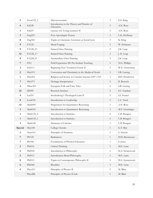| 5                       | Econ132_1           | Microeconomics                                          | $\mathfrak{Z}$ | E.S. King         |
|-------------------------|---------------------|---------------------------------------------------------|----------------|-------------------|
| $\overline{\mathbf{4}}$ | Ed128               | Introduction to the Theory and Practice of<br>Education | $\mathfrak{Z}$ | A.N. Rose         |
| $\mathbf{1}$            | Ed219               | Literacy for Young Learners II                          | $\mathfrak{Z}$ | A.N. Rose         |
| $\mathbf{3}$            | Eng255              | Post-Apocalyptic Fiction                                | $\mathfrak{Z}$ | C.K. Hoffman      |
| $\bf 8$                 | Eng365              | Topics in Literature: Literature as Social Lens         | $\mathfrak{Z}$ | K. King           |
| $\boldsymbol{9}$        | <b>FA122</b>        | Metal Forging                                           | $\mathfrak{Z}$ | W. Holzman        |
| $\boldsymbol{9}$        | FA128_0*            | <b>Stained Glass Painting</b>                           | $\mathfrak{Z}$ | J.K. Leap         |
| 12                      | FA128_1*            | <b>Stained Glass Painting</b>                           | $\mathfrak{Z}$ | J. K. Leap        |
| $\boldsymbol{9}$        | FA228_0*            | Intermediate Glass Painting                             | $\mathfrak{Z}$ | J.K. Leap         |
| 7                       | FE3                 | Field Experience III: Pre-Student Teaching              | $\mathfrak{Z}$ | N.G. Phillips     |
| 3                       | Grk111              | Beginning New Testament Greek II                        | 3              | W.E. Closterman   |
| $\overline{2}$          | Hist213             | Conversion and Christianity in the Medieval North       | $\mathfrak{Z}$ | S.B. Lawing       |
| $\mathbf{1}$            | Hist225             | Religion and Society in Colonial America 1607-1763      | $\mathfrak{Z}$ | B.D. Henderson    |
| 7                       | Hist371             | Heritage Interpretation                                 | $\mathfrak{Z}$ | <b>B.</b> Bostock |
| $\overline{\mathbf{4}}$ | HSoc305             | European Folk and Fairy Tales                           | $\mathfrak{Z}$ | S.B. Lawing       |
| 22                      | <b>ID390</b>        | Research Seminar                                        | $\overline{2}$ | S.C. Gardam       |
| $\overline{\mathbf{4}}$ | Lat251              | Swedenborg's Theological Latin II                       | $\mathfrak{Z}$ | S.I. Frazier      |
| $\bf 8$                 | Lead130             | Introduction to Leadership                              | $\mathfrak{Z}$ | L.C. Nash         |
| 12                      | Math095             | Preparation for Quantitative Reasoning                  | $\mathbf{1}$   | A.N. Rose         |
| $\mathbf{3}$            | Math101             | Introduction to Quantitative Reasoning                  | $\mathfrak{Z}$ | M.T. Genzlinger   |
| $\mathbf{1}$            | Math130_0           | Introduction to Statistics                              | $\overline{4}$ | C.B. Bongers      |
| $\mathbf{1}$            | Math130_1           | Introduction to Statistics                              | $\overline{4}$ | C.B. Bongers      |
| $\mathbf{3}$            | Math140             | Elements of Calculus                                    | $\mathfrak{Z}$ | C.B. Bongers      |
| Special                 | Mus100              | College Chorale                                         | $\mathbf{1}$   | G.T. Bier         |
| $\overline{\mathbf{3}}$ | Nutr110             | Principles of Nutrition                                 | $\mathfrak{Z}$ | S. Nelson         |
| $\overline{7}$          | <b>PE129</b>        | Badminton                                               | $\mathbf{1}$   | H.D. Bryntesson   |
| 7                       | <b>PE180</b>        | Foundations of Physical Education                       | $\mathbf{1}$   | S. Jones          |
| $\boldsymbol{2}$        | Phil101             | Critical Thinking                                       | $\mathfrak{Z}$ | M.E. Latta        |
| 5                       | Phil102             | Introduction to Philosophy                              | $\mathfrak{Z}$ | D.A. Synnestvedt  |
| $\sqrt{5}$              | Phil111             | Introduction Moral Philosophy                           | $\mathfrak{Z}$ | M.E. Latta        |
| $\bf 8$                 | Phil <sub>311</sub> | Topics in Contemporary Philosophy II                    | $\mathfrak{Z}$ | D.A. Synnestvedt  |
| 6                       | Phil <sub>340</sub> | Bioethics                                               | $\mathfrak{Z}$ | M.E. Latta        |
| $\overline{\mathbf{4}}$ | Phys211             | Principles of Physics II                                | $\mathfrak{Z}$ | M. Blair          |
|                         | Phys2llL            | Principles of Physics II Lab                            | $\mathbf{1}$   | M. Blair          |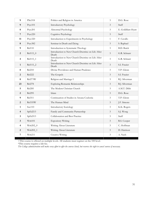| 9                       | PSci318       | Politics and Religion in America                           | $\mathfrak{Z}$ | D.G. Rose          |
|-------------------------|---------------|------------------------------------------------------------|----------------|--------------------|
| 9                       | Psyc101       | <b>Introductory Psychology</b>                             | $\mathfrak{Z}$ | Staff              |
| 8                       | Psyc201       | Abnormal Psychology                                        | 3              | E. Goldblatt-Hyatt |
| $\overline{7}$          | Psyc220       | Cognitive Psychology                                       | $\mathfrak{Z}$ | Staff              |
| 11                      | Psyc320       | Introduction to Experiments in Psychology                  | $\mathbf{1}$   | F. Cavallo         |
| $\bf 8$                 | Psyc382       | Seminar in Death and Dying                                 | $\mathfrak{Z}$ | S. Raphael         |
| 9                       | Rel110        | Introduction to Systematic Theology                        | $\mathfrak{Z}$ | <b>B.D.</b> Buick  |
| 2                       | Rel115_0      | Introduction to New Church Doctrine on Life After<br>Death | $\mathfrak{Z}$ | G.R. Schnarr       |
| $\overline{\mathbf{4}}$ | Rel115_1      | Introduction to New Church Doctrine on Life After<br>Death | $\mathfrak{Z}$ | G.R. Schnarr       |
| $\mathbf{1}$            | Rel115_2      | Introduction to New Church Doctrine on Life After<br>Death | $\mathfrak{Z}$ | S.I. Frazier       |
| 8                       | Rel210        | Divine Providence and Human Prudence                       | $\mathfrak{Z}$ | T.P. Glenn         |
| $\overline{2}$          | <b>Rel222</b> | The Gospels                                                | $\mathfrak{Z}$ | S.I. Frazier       |
| $\bf 8$                 | Rel273W       | Religion and Marriage I                                    | 3              | R.J. Silverman     |
| 23                      | <b>Rel278</b> | <b>Exploring Romantic Relationships</b>                    | $\mathfrak{Z}$ | R.J. Silverman     |
| 5                       | <b>Rel285</b> | The Modern Christian Church                                | $\mathfrak{Z}$ | A.M.T. Dibb        |
| $\overline{2}$          | Rel295        | Islam                                                      | $\mathfrak{Z}$ | D.G. Rose          |
| $\boldsymbol{9}$        | Rel311        | Continuation of Studies in Arcana Coelestia                | $\mathfrak{Z}$ | T.P. Glenn         |
| $\overline{2}$          | Rel335W       | The Human Mind                                             | $\mathfrak{Z}$ | J.F. Simons        |
| $\mathbf{1}$            | Soc110        | <b>Introductory Sociology</b>                              | $\mathfrak{Z}$ | K.K. Rogers        |
| 4                       | SpEd213       | Family and Community Partnership                           | $\mathfrak{Z}$ | S.J. Wong          |
| 3                       | SpEd313       | Collaboration and Best Practice                            | $\mathfrak{Z}$ | Staff              |
| 3                       | Writ101       | <b>Expository Writing</b>                                  | $\mathfrak{Z}$ | R.S. Cooper        |
| $\overline{\mathbf{4}}$ | Writ202_0     | Writing About Literature                                   | $\mathfrak{Z}$ | C. Hoffman         |
| $\sqrt{2}$              | Writ202_1     | Writing About Literature                                   | $\mathfrak{Z}$ | D. Harrison        |
| $\overline{7}$          | Writ211       | Creative Writing                                           | $\mathfrak{Z}$ | A. Nash            |

+This course is offered on multiple levels. All students must register on the 100 level.

\*This course requires a lab fee.

*The College administration will make every effort to offer the courses listed, but reserves the right to cancel courses if necessary.*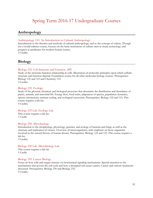# Spring Term 2016-17 Undergraduate Courses

### <span id="page-43-1"></span><span id="page-43-0"></span>**Anthropology**

### Anthropology 110. An Introduction to Cultural Anthropology.

Introduction to the theories and methods of cultural anthropology, and to the concept of culture. Though not a world cultures course, focuses on the basic institutions of culture such as ritual, technology, and progress as predicates for modern human society. 3 Credits.

### <span id="page-43-2"></span>**Biology**

### Biology 232. Cell Structure and Function. (PP)

Study of the structure-function relationship in cells. Illustration of molecular principles upon which cellular structure and function depend. Foundation course for all other molecular biology courses. Prerequisites: Biology 122 and 123 and Chemistry 110. 3 Credits.

### Biology 235. Ecology.

Study of the physical, chemical, and biological processes that determine the distribution and abundance of plants, animals, and microbial life. Energy flow, food webs, adaptation of species, population dynamics, species interactions, nutrient cycling, and ecological succession. Prerequisites: Biology 122 and 123. This course requires a lab fee.

3 Credits.

### Biology 235 Lab. Ecology Lab. This course requires a lab fee.

1 Credit.

### Biology 250. Microbiology.

Introduction to the morphology, physiology, genetics, and ecology of bacteria and fungi, as well as the structure and replication of viruses. Overview of microorganisms, with emphasis on those organisms involved in the natural history of human disease. Prerequisites: Biology 122 and 123. This course requires a lab fee.

3 Credits.

### Biology 250 Lab. Microbiology Lab.

This course requires a lab fee. 1 Credit.

### Biology 355. Cancer Biology.

Focus on how cells and organs interact via biochemical signaling mechanisms. Special attention to the mechanisms that govern the cell cycle and how a disrupted cell causes cancer. Cancer and various treatments discussed. Prerequisites: Biology 230 and Biology 232. 3 Credits.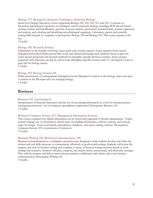### Biology 373. Biological Laboratory Techniques: Molecular Biology.

Junior level biology laboratory course supporting Biology 230, 232, 310, 315, and 355. A mixture of theoretical and practical experience in techniques used in molecular biology, including PCR and cell-based cloning, nucleic acid hybridization, genomic structure analysis, proteomics, bioinformatics, protein expression and analysis, and culturing and identifying microbiological organisms. Laboratory reports and scientific writing skills integral. Co-requisite or prerequisite: Biology 230 and Biology 232. This course requires a lab fee.

2 Credits.

### Biology 380. Research Seminar.

Exploration of the breadth of biology career paths and research options. Guest speakers from various biological and medical fields present their work and educational background. Students choose topics for senior project proposals and research methods for discipline specific literature searches. Senior project proposals with references are due by end of term. Discipline-specific resumes and C.V. developed. Course is pass/fail for biology majors.

1 Credit.

### Biology 492. Biology Seminar III.

Public presentation of undergraduate biological research. Required of seniors in the biology major and open to seniors in the ID major who are studying biology. 1 Credit.

### <span id="page-44-0"></span>**Business**

### Business 142. Accounting II.

Interpretation of financial statements and the use of accounting information as a tool for making business management decisions. Use of computer spreadsheets emphasized. Prerequisite: Business 141. 3 Credits.

### Business/Computer Science 215. Management Information Systems.

This course examines how digital information can be stored and organized to benefit organizations. Topics include strategic use of information, ethical issues in handling information, software options, and concept maps for design. Tools used include spreadsheets, databases, and report writing software. Prerequisites: Computer Science 105 or permission of instructor. 3 Credits.

### Business/Writing 220. Business Communications. (W)

Business Communications is a workplace-oriented course designed to help students develop and refine the written and oral skills necessary to communicate effectively in professional settings. Students will review the purpose and style of business writing and complete a variety of focused writing exercises based on work settings and scenarios. Students will plan, compose, and analyze letters, memoranda, and electronic messages. They will also prepare and deliver brief oral presentations, collaborate with others, and revise business communication. Prerequisite: Writing 101. 3 Credits.

33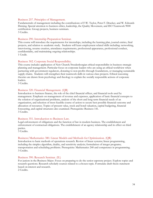### Business 257. Principles of Management.

Fundamentals of management including the contributions of F.W. Taylor, Peter F. Drucker, and W. Edwards Deming. Special attention to business ethics, leadership, the Quality Movement, and ISO Teamwork 9000 certification. Group projects, business seminars. 3 Credits.

### Business 290. Internship Preparation Seminar.

This course will introduce the requirements for internships, including the learning plan, journal entries, final projects, and relation to academic study. Students will learn employment related skills including: networking, interviewing, resume creation, attendance requirements, professional appearance, professional conduct, confidentiality, and maintaining ongoing relationships. 1 Credit.

### Business 302. Corporate Social Responsibility.

This course includes application of New Church/Swedenborgian ethical responsibility in business strategic planning and management. Particular focus on corporate leaders who are using an ethical worldview when partnering with government regulators, donating to non-profits through foundations, or managing sustainable supply chains. Students will strengthen their teamwork skills in various class projects. Ethical reasoning theories are drawn from psychology and theology to explain the socially responsible actions of corporate leaders.

3 Credits.

#### Business 320. Financial Management. (QR)

Introduction to business finance, the role of the chief financial officer, and financial tools used by management. Emphasis on management of revenue and expenses, application of basic financial concepts to the solution of organizational problems, analysis of the short and long-term financial needs of an organization, and selection of most feasible course of action to secure best possible financial outcome and allocation of resources. Topics of present value, stock and bond valuation, capital budgeting, financial forecasting, and capital structures also examined. Prerequisite: Business 141. 3 Credits.

### Business 351. Introduction to Business Law.

Legal enforcement of obligations and the function of law in modern business. The establishment and enforcement of contractual obligations. The establishment of an agency relationship and its effect on third parties.

3 Credits.

#### Business/Mathematics 380. Linear Models and Methods for Optimization. (QR)

Introduction to basic methods of operations research. Review of linear systems; linear programming, including the simplex algorithm, duality, and sensitivity analysis; formulation of integer programs; transportation and scheduling problems. Prerequisite: Mathematics 240 and competence in programming. 3 Credits.

#### Business 390. Research Seminar. (IL)

For juniors in the Business Major. Focus on preparing to do the senior capstone project. Explore topics and research questions. Research scholarly sources related to a chosen topic. Formulate draft thesis statement based on interest and research.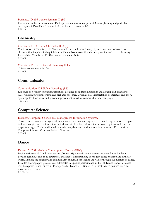#### Business/ID 496. Senior Seminar II. (PP)

For seniors in the Business Major. Public presentation of senior project. Career planning and portfolio development. Pass/Fail. Prerequisite: C– or better in Business 495. 1 Credit.

### <span id="page-46-0"></span>**Chemistry**

#### Chemistry 111. General Chemistry II. (QR)

Continuation of Chemistry 110. Topics include intermolecular forces, physical properties of solutions, chemical kinetics, chemical equilibrium, acids and bases, solubility, thermodynamics, and electrochemistry. Prerequisite: Chemistry 110. This course requires a lab fee. 3 Credits.

#### Chemistry 111 Lab. General Chemistry II Lab.

This course requires a lab fee. 1 Credit.

### <span id="page-46-1"></span>**Communication**

#### Communication 105. Public Speaking. (PP)

Exposure to a variety of speaking situations designed to address inhibitions and develop self-confidence. Class work features impromptu and prepared speeches, as well as oral interpretation of literature and choral speaking. Work on voice and speech improvement as well as command of body language. 3 Credits.

### <span id="page-46-2"></span>**Computer Science**

#### Business/Computer Science 215. Management Information Systems.

This course examines how digital information can be stored and organized to benefit organizations. Topics include strategic use of information, ethical issues in handling information, software options, and concept maps for design. Tools used include spreadsheets, databases, and report writing software. Prerequisites: Computer Science 105 or permission of instructor. 3 Credits.

### <span id="page-46-3"></span>**Dance**

#### Dance 131/231. Modern Contemporary Dance. (EEC)

Beginner (Dance 131) and Intermediate (Dance 231) course in contemporary modern dance. Students develop technique and body awareness, and deeper understanding of modern dance and its place in the art world. Explore the diversity and commonality of human experience and values through the medium of dance. Includes choreography projects and culminates in a public performance at the Fall Dance Concert. Course may be repeated once for credit. Prerequisite for Dance 231: Dance 131 or instructor's permission. Also serves as a PE course.

1.5 Credits.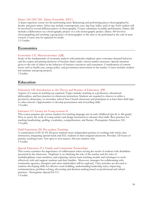### Dance 160/260/360. Dance Ensemble. (EEC)

A dance repertory course for the performing artist. Rehearsing and performing pieces choreographed by faculty and guest artists. Styles may include contemporary, jazz, hip-hop, ballet, and/or tap. Each student will be involved in several different pieces of choreography. Course culminates in public performance. Dance 260 includes collaboration on a choreography project or a solo choreography project. Dance 360 involves choreographing and teaching a group piece of choreography to the class to be performed at the end of term concert. Course may be repeated for credit. 1.5 Credits.

<span id="page-47-0"></span>**Economics**

### Economics 132. Microeconomics. (QR)

Study of the fundamentals of economic analysis with particular emphasis upon consumer demand behavior and the output and pricing decisions of business firms under various market structures. Special attention given to the role of ethics in the behavior of business executives and consumers. Consideration of current issues such as health care, energy policy, and government intervention in the market. Course includes studentled seminars and group projects.

3 Credits.

### <span id="page-47-1"></span>**Education**

### Education 128. Introduction to the Theory and Practice of Education. (PP)

Aspects of a career in teaching are explored. Topics include: teaching as a profession, educational philosophies, and best practices in classroom instruction. Students are required to observe in either a preschool, elementary, or secondary school New Church classroom and participate in at least three field trips to other schools. Opportunities to develop presentation and storytelling skills. 3 Credits.

#### Education 219. Literacy for Young Learners II.

This course prepares pre-service teachers for teaching language arts in early childhood (pre-K to 4th grade). How to assess the work of young writers and design instruction to advance their skills. Best practices for teaching handwriting, spelling, vocabulary, comprehension, and fluency. Prerequisite: Education 218. 3 Credits.

#### Field Experience III: Pre-student Teaching.

A continuation of FE II, FE III gives students more independent practice in working with whole class instruction, integrating special needs and ELL students in their assigned classroom. Provides 120 hours of practice teaching hours. Not open to non-majors; 3rd year students only. 3 Credits.

#### Special Education 213. Family and Community Partnerships.

This course examines the importance of collaboration when serving the needs of students with disabilities presented in the classroom. Emphasis is on clarifying the role of the teacher and the roles of multidisciplinary team members, and exploring various team-teaching models and techniques to work effectively with and support students and their families. Moreover, strategies for collaborating with community agencies, therapists and other stakeholders will be explored. Class activities are devoted to students developing skills for effective team-building, understanding leadership styles, improving communication, problem-solving, advocating and decision-making based on professional and ethical practices. Prerequisite: Special Ed 111.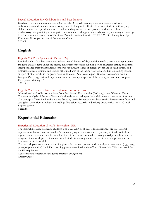### Special Education 313. Collaboration and Best Practice.

Builds on the foundation of creating a Universally Designed Learning environment, enriched with collaborative models and classroom management techniques to effectively instruct students with varying abilities and needs. Special attention to understanding to current best practices and research-based methodologies in providing a literacy-rich environment, making curricular adaptations, and using technologybased accommodations and modifications. Taken in conjunction with FE III. 3 Credits. Prerequisite: Special Education 211 or permission of Department Chair. 3 Credits.

<span id="page-48-0"></span>**English**

### English 255: Post-Apocalyptic Fiction. (W)

Detailed study of modern depictions in literature of the end-of-days and the trending post-apocalyptic genre. Students evaluate texts under the literary constructs of plot and subplot, device, character, setting and author intent; enhance their understanding of the works through lenses of current events and social, political, and historical context; examine and discuss other mediums of the theme (television and film), including relevant analysis of other works in the genre, such as its Young Adult counterparts (*Hunger Games, Maze Runner, Divergent, Pure Trilogy, etc)*; and experiment with their own perceptions of the apocalypse via a creative project. Prerequisite: Writing 101.

3 Credits.

### English 365: Topics in Literature: Literature as Social Lens.

Selected works of well-known writers from the 19<sup>th</sup> and 20<sup>th</sup> centuries (Dickens, James, Wharton, Twain, Thoreau). Analysis of the ways literature both reflects and critiques the social values and customs of its time. The concept of 'lens' implies that we are *limited* by particular perspectives but also that literature can focus and strengthen our vision. Emphasis on reading, discussion, research, and writing. Prerequisite: Any 200-level English course.

3 credits.

### <span id="page-48-1"></span>**Experiential Education**

### Experiential Education 198/298. Internship. (EE)

The internship course is open to students with a 2.7 GPA or above. It is a supervised, pre professional experience with clear links to a student's academic program. It is conducted primarily or totally outside a regular course classroom, and for which a student earns academic credit. It is organized primarily around an assignment in a work-place situation in which students working under the direction of a supervisor learn hands-on professional skills.

The internship course requires a learning plan, reflective component, and an analytical component (e.g., essay, paper, or presentation). Individual learning plans are retained in the office of Internship. This course satisfies the EE requirement.

Course may be repeated for academic credit by arrangement. Credit variable.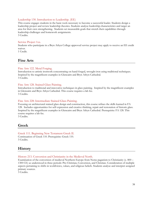### Leadership 130. Introduction to Leadership. (EE)

This course engages students in the basic tools necessary to become a successful leader. Students design a leadership project and review leadership theories. Students analyze leadership characteristics and target an area for their own strengthening. Students set measurable goals that stretch their capabilities through leadership challenges and homework assignments. 3 Credits.

### Service Project 1xx.

Students who participate in a Bryn Athyn College approved service project may apply to receive an EE credit waiver.

<span id="page-49-0"></span>1 Credit.

### **Fine Arts**

### Fine Arts 122. Metal Forging.

Introduction to artistic ironwork concentrating on hand-forged, wrought iron using traditional techniques. Inspired by the magnificent examples in Glencairn and Bryn Athyn Cathedral. 3 Credits.

### Fine Arts 128. Stained Glass Painting.

Introduction to traditional and innovative techniques in glass painting. Inspired by the magnificent examples in Glencairn and Bryn Athyn Cathedral. This course requires a lab fee. 3 Credits.

### Fine Arts 228: Intermediate Stained Glass Painting.

Focusing on architectural stained glass design and construction, this course refines the skills learned in FA 128. Includes opportunities for self-expression and creative thinking, repair and restoration of historic glass. Inspired by the magnificent examples in Glencairn and Bryn Athyn Cathedral. Prerequisite: FA 128. This course requires a lab fee.

3 Credits.

### <span id="page-49-1"></span>**Greek**

### Greek 111. Beginning New Testament Greek II. Continuation of Greek 110. Prerequisite: Greek 110. 3 Credits.

### <span id="page-49-2"></span>**History**

History 213. Conversion and Christianity in the Medieval North.

Examination of the conversion of medieval Northern Europe from Norse paganism to Christianity (c. 800 – 1300 CE) as understood in three periods: Pre-Christian, Conversion, and Christian. Consideration of multiple aspects pertaining to shifts in worldviews, values, and religious beliefs. Students analyze and interpret assigned primary sources.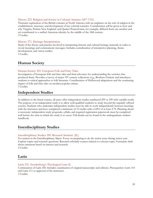### History 225. Religion and Society in Colonial America 1607-1763.

Thematic exploration of the British colonies in North America with an emphasis on the role of religion in the establishment, structure, and development of key colonial societies. Consideration will be given to how and why Virginia, Puritan New England, and Quaker Pennsylvania, for example, differed from one another and yet contributed to a unified American identity by the middle of the 18th century. 3 Credits.

### History 371. Heritage Interpretation.

Study of the theory and practice involved in interpreting historic and cultural heritage materials in order to reveal meanings and communicate messages. Includes consideration of interpretive planning, theme development, and visitor studies.

3 Credits.

### <span id="page-50-0"></span>**Human Society**

### Human Society 305. European Folk and Fairy Tales.

Investigation of European folk and fairy tales and their relevance for understanding the societies that produced them. Provides a survey of major 19<sup>th</sup> century collections (e.g., Brothers Grimm) and introduces students to critical approaches to folk literature. Consideration of Hollywood adaptations and the continuing impact of folk and fairy tales on modern popular culture. 3 Credits.

### <span id="page-50-1"></span>**Independent Studies**

In addition to the listed courses, all areas offer independent studies numbered 299 or 399 with variable credit. The purpose of an independent study is to allow well-qualified students to study beyond the regularly offered courses. Students who undertake independent studies must be able to work independently between meetings with the instructor and have completed a minimum of 33 credits with a GPA of at least 2.70. Planning ahead is necessary: independent study proposals, syllabi, and required registration paperwork must be completed well before the term in which the study is to occur. Full details can be found in the undergraduate student handbook.

### <span id="page-50-2"></span>**Interdisciplinary Studies**

### Interdisciplinary Studies 390. Research Seminar. (IL)

For juniors in the Interdisciplinary Major. Focus on preparing to do the senior essay during senior year. Explore topics and research questions. Research scholarly sources related to a chosen topic. Formulate draft thesis statement based on interest and research. 2 Credits.

### <span id="page-50-3"></span>**Latin**

### Latin 251. Swedenborg's Theological Latin II.

<span id="page-50-4"></span>Continuation of Latin 250. Includes examination of original manuscripts and editions. Prerequisites: Latin 110 and Latin 111 or approval of the instructor. 3 Credits.

39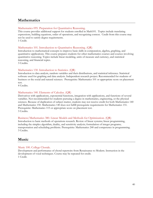### **Mathematics**

### Mathematics 095. Preparation for Quantitative Reasoning.

This course provides additional support for students enrolled in Math101. Topics include translating expressions, building equations, order of operations, and recognizing context. Credit from this course may not be used to satisfy degree requirements. 1 Credit.

### Mathematics 101. Introduction to Quantitative Reasoning. (QR)

Introduction to mathematical concepts to improve basic skills in computation, algebra, graphing, and quantitative applications. This course prepares students for other mathematics courses and courses involving quantitative reasoning. Topics include linear modeling, units of measure and currency, and statistical reasoning, and financial topics.

3 Credits.

### Mathematics 130. Introduction to Statistics. (QR)

Introduction to data analysis, random variables and their distributions, and statistical inference. Statistical software used for graphing and data analysis. Independent research project. Recommended for students of business or the social and natural sciences. Prerequisite: Mathematics 101 or appropriate score on placement test.

4 Credits.

### Mathematics 140. Elements of Calculus. (QR)

Derivatives with applications, exponential functions, integration with applications, and functions of several variables. Not recommended for students pursuing a degree in mathematics, engineering, or the physical sciences. Because of duplication of subject matter, students may not receive credit for both Mathematics 140 and Mathematics 150. Mathematics 140 does not fulfill prerequisite requirements for Mathematics 151. Prerequisite: Mathematics 115 or appropriate score on placement test. 3 Credits.

#### Business/Mathematics 380. Linear Models and Methods for Optimization. (QR)

Introduction to basic methods of operations research. Review of linear systems; linear programming, including the simplex algorithm, duality, and sensitivity analysis; formulation of integer programs; transportation and scheduling problems. Prerequisite: Mathematics 240 and competence in programming. 3 Credits.

### <span id="page-51-0"></span>**Music**

#### Music 100. College Chorale.

<span id="page-51-1"></span>Development and performance of choral repertoire from Renaissance to Modern. Instruction in the development of vocal techniques. Course may be repeated for credit. 1 Credit.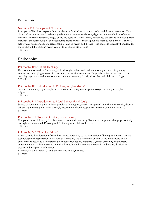### **Nutrition**

### Nutrition 110. Principles of Nutrition.

Principles of Nutrition explores how nutrients in food relate to human health and disease prevention. Topics discussed include current US dietary guidelines and recommendations, digestion and metabolism of major nutrients, nutrition at various stages of the life cycle (maternal, infant, childhood, adolescent, adulthood, later maturity), the relationship of socioeconomic status, culture, and religious practices to food choices, physical activity and nutrition, and the relationship of diet to health and disease. This course is especially beneficial for those who will be entering health-care or food related professions. 3 Credits.

### <span id="page-52-0"></span>**Philosophy**

### Philosophy 101. Critical Thinking.

Development of students' reasoning skills through analysis and evaluation of arguments. Diagraming arguments, identifying mistakes in reasoning, and writing arguments. Emphasis on issues encountered in everyday experience and in courses across the curriculum, primarily through classical deductive logic. 3 Credits.

### Philosophy 102. Introduction to Philosophy. (Worldview)

Survey of some major philosophers and theories in metaphysics, epistemology, and the philosophy of religion.

3 Credits.

### Philosophy 111. Introduction to Moral Philosophy. (Moral)

Survey of some major philosophers, problems (Euthyphro, relativism, egoism), and theories (aretaic, deontic, utilitarian) in moral philosophy. Strongly recommended: Philosophy 101. Prerequisite: Philosophy 102. 3 Credits.

### Philosophy 311. Topics in Contemporary Philosophy II.

Complement to Philosophy 310, but may be taken independently. Topics and emphases change periodically. Strongly recommended: Philosophy 101. Prerequisite: Philosophy 102. 3 Credits.

### Philosophy 340. Bioethics. (Moral)

A philosophical exploration of the ethical issues pertaining to the application of biological information and technology to the generation, alteration, preservation, and destruction of human life and aspects of our environment. Issues to be considered include: reproduction, euthanasia, genetic screening and therapy, experimentation with human and animal subjects, bio enhancement, ownership and nature, distributive justice, and integrity in publication.

<span id="page-52-1"></span>Prerequisite: Philosophy 102 and any 100-level Biology course. 3 Credits.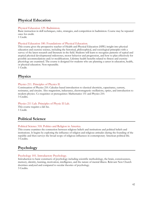### **Physical Education**

### Physical Education 129. Badminton.

Basic instruction in skill techniques, rules, strategies, and competition in badminton. Course may be repeated once for credit.

1 Credit.

### Physical Education 180. Foundations of Physical Education.

This course gives the prospective teacher of Health and Physical Education (HPE) insight into physical education and exercise science, including the historical, philosophical, and sociological principles with a survey of the latest research and literature in the field. Students will learn to recognize patterns of typical and atypical physical developmental milestones, motor behavior and progression, and how to plan effectively for possible accommodations and/or modifications. Lifetime health benefits related to fitness and exercise physiology are examined. The course is designed for students who are planning a career in education, health, or physical education. Non repeatable.

1 Credit.

### **Physics**

### Physics 211. Principles of Physics II.

Continuation of Physics 210. Calculus-based introduction to classical electricity, capacitance, current, resistance, and circuits. Also magnetism, inductance, electromagnetic oscillations, optics, and introduction to modern physics. Co-requisites or prerequisites: Mathematics 151 and Physics 210. 3 Credits.

### Physics 211 Lab. Principles of Physic II Lab.

This course requires a lab fee. 1 Credit.

### <span id="page-53-0"></span>**Political Science**

### Political Science 318. Politics and Religion in America.

This course examines the connection between religious beliefs and institutions and political beliefs and institutions. It begins by exploring the influence of religion and religious attitudes during the founding of the republic and then surveys the broad scope of religious influences in contemporary American political life. 3 Credits.

### <span id="page-53-1"></span>**Psychology**

### Psychology 101. Introductory Psychology.

Introduction to basic constructs of psychology including scientific methodology, the brain, consciousness, memory, identity, learning, motivation, intelligence, and the nature of mental illness. Relevant New Church doctrines analyzed and compared to secular theories of psychology. 3 Credits.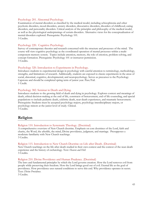### Psychology 201. Abnormal Psychology.

Examination of mental disorders as classified by the medical model, including schizophrenia and other psychotic disorders, mood disorders, anxiety disorders, dissociative disorders, disorders of childhood, eating disorders, and personality disorders. Critical analysis of the principles and philosophy of the medical model, as well as the physiological underpinnings of certain disorders. Alternative views for the conceptualization of mental disorders explored. Prerequisite: Psychology 101. 3 Credits.

#### Psychology 220. Cognitive Psychology.

Survey of contemporary theories and research concerned with the structure and processes of the mind. The course will view cognitive psychology as the coordinated operation of mental processes within a multicomponent memory system. Topics include attention, memory, the role of emotion, problem solving, and concept formation. Prerequisite: Psychology 101 or instructor permission. 3 Credits.

#### Psychology 320. Introduction to Experiments in Psychology.

Introduces students to experimental design in psychology with careful attention to terminology, methodology, strengths, and limitations of research. Additionally, students are exposed to classic experiments in the areas of social, abnormal, cognitive, developmental, and neuropsychology. Serves as precursor to the Psychology Capstone and should be completed spring term of junior year. Pass/Fail. 1 Credit.

#### Psychology 382. Seminar in Death and Dying.

Introduces students to the growing field of death and dying in psychology. Explores context and meanings of death, ethical decision-making at the end of life, constructs of bereavement, end of life counseling, and special populations to include pediatric death, celebrity death, near-death experiences, and traumatic bereavement. Prerequisite: Students must be accepted psychology majors, psychology interdisciplinary majors, or psychology minors at the junior level of study. Clinical. 3 Credits.

### <span id="page-54-0"></span>**Religion**

### Religion 110. Introduction to Systematic Theology. (Doctrinal)

A comprehensive overview of New Church doctrine. Emphasis on core doctrines of the Lord, faith and charity, the Word, the afterlife, the mind, Divine providence, judgment, and marriage. Presupposes a moderate familiarity with New Church teachings. 3 Credits.

### Religion 115. Introduction to New Church Doctrine on Life after Death. (Doctrinal)

New Church teachings on the life after death studied in their own context and the context of the near-death experience and the history of eschatology. Text: *Heaven and Hell.* 3 Credits.

#### Religion 210. Divine Providence and Human Prudence. (Doctrinal)

The laws and fundamental principles by which the Lord governs creation. How the Lord removes evil from people while preserving their freedom. How the Lord brings good out of evil. Eternal life as the goal of providence. How providence uses natural conditions to serve this end. Why providence operates in secret. Text: *Divine Providence*.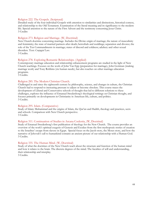#### Religion 222. The Gospels. (Scriptural)

Detailed study of the four individual Gospels with attention to similarities and distinctions, historical context, and relationship to the Old Testament. Examination of the literal meaning and its significance to the modern life. Special attention to the nature of the First Advent and the testimony concerning Jesus Christ. 3 Credits

### Religion 273. Religion and Marriage. (W, Doctrinal)

New Church doctrine concerning marriage. Includes the Divine origin of marriage; the nature of masculinity and femininity; the state of married partners after death; betrothals and weddings; separation and divorce; the role of the Ten Commandments in marriage; states of discord and coldness; adultery and other sexual disorders. Text: *Conjugial Love*.

3 Credits.

### Religion 278. Exploring Romantic Relationships. (Applied)

Contemporary marriage education and relationship enhancement programs are studied in the light of New Church teachings. Focuses on the work of John Van Epp (preparation for marriage), John Gottman (making marriage work) and Tony Robbins (six human needs), but also touches on other marriage education programs.

3 Credits.

#### Religion 285. The Modern Christian Church.

Challenged in and since the eighteenth century by philosophy, science, and changes in culture, the Christian Church had to respond to increasing pressure to adjust or become obsolete. This course traces the development of Liberal and Conservative schools of thought that led to different solutions to these challenges, explores the influence of Emanuel Swedenborg's theological writings on Christian thought, and focuses primarily on developments in Christianity in American life, culture, and politics. 3 Credits.

#### Religion 295. Islam. (Comparative)

Study of Islam: Muhammad and the origins of Islam, the Qur'an and Hadith, theology and practices, sects and schools. Comparison with New Church perspective. 3 Credits.

#### Religion 311. Continuation of Studies in Arcana Coelestia, (W, Doctrinal)

Study of Emanuel Swedenborg's first publication of theology for the New Church. The course provides an overview of the work's spiritual exegesis of Genesis and Exodus-from the first mythopoeic stories of creation to the Israelites' escape from slavery in Egypt. Special focus on the Jacob story, the Moses story, and how the narrative of Jehovah's call to humankind contains an ancient picture of our relationship with a Human God. 3 Credits.

#### Religion 335. The Human Mind. (W, Doctrinal)

<span id="page-55-0"></span>Study of what the doctrines of the New Church teach about the structure and function of the human mind and how it relates to the brain. The discrete degrees of the mind. The faculties of will and understanding, their relationship and interplay.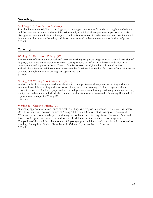### **Sociology**

### Sociology 110. Introductory Sociology.

Introduction to the discipline of sociology and a sociological perspective for understanding human behaviors and the structure of human societies. Discussions apply a sociological perspective to topics such as social class, gender, race and ethnicity, culture, work, and social movements in order to understand how individual lives and social groups are shaped by social structures, cultural understandings and distributions of power. 3 Credits.

### <span id="page-56-0"></span>**Writing**

### Writing 101. Expository Writing. (W)

Development of informative, critical, and persuasive writing. Emphases on grammatical control, precision of language, consideration of audience, rhetorical strategies, revision, information literacy, and articulation, development, and support of thesis. Three to five formal essays total, including substantial revision. Individual conferences with instructor to discuss student's writing. Required of first year students. Non-native speakers of English may take Writing 101 sophomore year. 3 Credits.

### Writing 202. Writing About Literature. (W, IL)

Analytic study of literary genres—drama, short fiction, and poetry—with emphases on writing and research. Assumes basic skills in writing and information literacy covered in Writing 101. Three papers, including substantial revision. One longer paper and its research process require locating, evaluating, and incorporating multiple secondary sources. Individual conferences with instructor to discuss student's writing. Required of sophomores. Prerequisite: Writing 101. 3 Credits.

### Writing 211. Creative Writing. (W)

<span id="page-56-1"></span>Workshop approach to various forms of creative writing, with emphasis determined by year and instructor. 2016-17 offering will focus on the area of Young Adult Fiction. Students study examples of successful YA fiction in the current marketplace, including but not limited to *The Hunger Games*, *Eleanor and Park,* and *Code Name Verity*, in order to explore and recreate the defining qualities of the various sub-genres. Completion of three polished chapters and a full plot synopsis. Individual conferences in addition to in-class meetings. Prerequisite: Grade of B- or better in Writing 101, or permission of instructor. 3 Credits.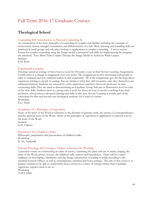# Fall Term 2016-17 Graduate Courses

### **Theological School**

### Counseling 845. Introduction to Pastoral Counseling II.

An examination of the basic principles of counseling for couples and families including the concepts of homeostasis, fusion, triangles, boundaries, and differentiation of a self. Basic listening and attending skills are practiced in small groups and role plays looking to applications in couples counseling. A seven session format for couples counseling using the Imago model is presented and skills for implementing the program are practiced. Text: Short Term Couples Therapy the Imago Model in Action by Wade Luquet. Seminar.

K.H. Roth

### Experiential Learning.

Theologs spend an average of three hours a week for 30 weeks a year, in their Service Learning Assignments. Usually there is a change in assignment every ten weeks. The assignments involve interacting with people as aides to ordained and non-ordained leaders in this community. All of the assignments give the theologs direct experience relating to people in settings that are similar to what they will encounter, once they themselves are ordained ministers. Students are assessed by onsite supervisors and their classroom professor on nine connecting skills. They are rated as demonstrating an Excellent, Good, Sub-par or Destructive level for each of the nine skills. Students meet as a group once a week for about an hour to receive coaching from their professor, who possesses advanced training and skills in this area. Service Learning is usually part of the curriculum for first and second year theological students, for a total of 6 terms.

Workshop E.G. Hyatt

### Homiletics 911. Principles of Exposition.

Study of the letter of the Word in reference to the doctrine of genuine truth, the science of correspondences, and the spiritual sense of the Word. Study of the principles of exposition in application to selected texts in the letter of the Word. Seminar.

G.H. Odhner

#### Homiletics 922. Children's Talks.

Philosophy, preparation and presentation of children's talks. Workshop. K. Hy. Asplundh

#### Pastoral Theology 852. Liturgics: Orders of Services for Worship.

A practical course on constructing an order of service, examining the place and use of music, singing, the letter of the Word, prayer, lessons, the children's talk, sermon and benediction. There will be a major emphasis on developing a familiarity with the liturgy and practice of leading worship according to the standard General Offices, as well as contemporary, informal and home settings. The aim of this course is to prepare students to be able to comfortably lead a service in a variety of settings before their Candidate experience requires them to do so.

Workshop. A.M.T. Dibb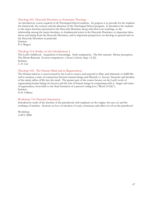### Theology 601. Heavenly Doctrines as Systematic Theology.

An introductory course required of all Theological School students. Its purpose is to provide for the students the framework, the context, and the direction of the Theological School program. It introduces the students to the major doctrines presented in the Heavenly Doctrines along with their core teachings, to the relationship among the major doctrines, to fundamental terms in the Heavenly Doctrines, to important ideas about and arising from the Heavenly Doctrines, and to important perspectives on theology in general and on the Heavenly Doctrines in particular.

Seminar.

P.A. Rogers

### Theology 614: Studies on the Glorification: I.

The Lord's childhood. Acquisition of knowledge. Early temptations. The first rational. Divine perception. The Divine Rational. In-most temptations. (*Arcana Caelestia*, chap. 12-22). Seminar. *S. D. Cole*

### Theology 642. The Human Mind and its Regeneration.

The Human mind as a vessel created by the Lord to receive and respond to Him, and ultimately to fulfill His end in creation: a state of conjunction between human beings and Himself, i.e. heaven. Structure and faculties of the mind, influx of life into the mind. The greater part of the course focuses on the Lord's work of regenerating human beings for heaven and the role of human beings in cooperating with it. Stages and states of regeneration, from birth to the final formation of a person's ruling love ("Book of Life"). Seminar.

G.H. Odhner

### Workshop 710: Pastoral Orientation.

Introductory study of the doctrine of the priesthood, with emphasis on the origins, the uses of, and the workings of ministry. Sections on love of salvation of souls, conscience and effect of evil on the priesthood

Workshop. A.M.T. Dibb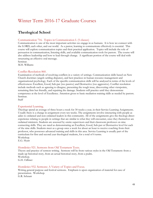## <span id="page-59-0"></span>Winter Term 2016-17 Graduate Courses

### **Theological School**

### Communication 716. Topics in Communication I. (5 classes)

Communication is one of the most important activities we engage in as humans. It is how we connect with the LORD, each other, and our world. As a pastor, learning to communicate effectively is essential. This course will explore communication topics and their practical application. Topics will include the role of persuasion in communication, listening skills, and available communication tools for pastors. The course will also address leadership and how to lead through change. A significant portion of the course will deal with structuring an effective oral message.

Seminar. M.H. Williams

### Conflict Resolution 860.

Examination of methods of resolving conflicts in a variety of settings. Communication skills based on New Church doctrines (angels settling disputes), and best practices in human resource management and organizational psychology. Each of the specific communication skills will be analyzed in terms of the levels of effectiveness: Excellent, Good, Sub-par (too passive) and Destructive (too aggressive). Conflict resolution include methods such as agreeing to disagree, presenting the tough issue, discovering other viewpoints, remaining firm but friendly, and repairing the damage. Students will practice until they demonstrate competence at the level of Excellence. Attention given to basic mediation training skills as needed by pastors. Seminar.

Staff

#### Experiential Learning.

Theologs spend an average of three hours a week for 30 weeks a year, in their Service Learning Assignments. Usually there is a change in assignment every ten weeks. The assignments involve interacting with people as aides to ordained and non-ordained leaders in this community. All of the assignments give the theologs direct experience relating to people in settings that are similar to what they will encounter, once they themselves are ordained ministers. Students are assessed by onsite supervisors and their classroom professor on nine connecting skills. They are rated as demonstrating an Excellent, Good, Sub-par or Destructive level for each of the nine skills. Students meet as a group once a week for about an hour to receive coaching from their professor, who possesses advanced training and skills in this area. Service Learning is usually part of the curriculum for first and second year theological students, for a total of 6 terms. Workshop.

E.G. Hyatt

#### Homiletics 921. Sermons from Old Testament Texts.

Theory and practice of sermon writing. Sermons will be from various styles in the Old Testament: from a made-up historical story, from an actual historical story, from a psalm. Workshop. G.H. Odhner

#### Homiletics 932. Sermons: A Variety of Topics and Focus.

Writing general purpose and festival sermons. Emphasis is upon organization of material for ease of presentation. Workshop.

G.R. Schnarr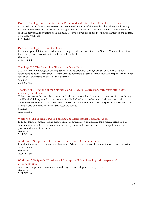### Pastoral Theology 841. Doctrine of the Priesthood and Principles of Church Government I.

An analysis of the doctrine concerning the two interrelated uses of the priesthood, teaching and learning. External and internal evangelization. Leading by means of representatives in worship. Government by influx as in the heavens, and by afflux as in the hells. How these two are applied to the government of the church. Two-term Workshop.

B.W. Keith

### Pastoral Theology 848. Priestly Duties.

Pastoral responsibilities. A broad review of the practical responsibilities of a General Church of the New Jerusalem pastor as contained in the Pastor's Handbook. Workshop. A. M.T. Dibb

### Theology 620. The Revelation Given to the New Church.

The nature of the theological Writings given to the New Church through Emanuel Swedenborg. Its relationship to former revelations. Approaches to forming a doctrine for the church in response to the new revelation. The nature and role of that doctrine. Seminar.

G.H. Odhner

### Theology 660. Doctrine of the Spiritual World: I. Death, resurrection, early states after death, vastation, punishment.

This course covers the essential doctrine of death and resurrection. It traces the progress of spirits through the World of Spirits, including the process of individual judgment to heaven or hell, vastation and punishments of the evil. The course also explores the influence of the World of Spirits in human life in the natural world by means of spheres and associate spirits.

Seminar. A.M.T. Dibb

### Workshop 720: Speech I. Public Speaking and Interpersonal Communication.

Introduction to communications theory: Self as communicator, communication process, perception in communication, and effective communication—qualities and barriers. Emphasis on applications to professional work of the priest.

Workshop. M.H. Williams

### Workshop 724: Speech II. Concepts in Interpersonal Communication.

Introduction to oral interpretation of literature. Advanced interpersonal communication theory and skills development. Workshop.

M.H. Williams

#### Workshop 728: Speech III. Advanced Concepts in Public Speaking and Interpersonal Communication.

Advanced interpersonal communication theory, skills development, and practice. Workshop. M.H. Williams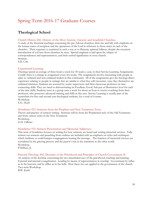# <span id="page-61-0"></span>Spring Term 2016-17 Graduate Courses

### **Theological School**

### Church History 682. History of the Most Ancient, Ancient, and Israelitish Churches.

A study of the doctrinal teachings concerning the pre-Advent churches; their rise and fall, with emphasis on the human states of reception and the operations of the Lord in reference to those states in each of the churches. Their sequence is examined in such a way as to illustrate spiritual fullness, despite the recurrent introduction of evil into those churches by men. Special emphasis is laid upon the subject of correspondences and representatives, and their central significance in every church. Seminar.

S.D. Cole

### Experiential Learning.

Theologs spend an average of three hours a week for 30 weeks a year, in their Service Learning Assignments. Usually there is a change in assignment every ten weeks. The assignments involve interacting with people as aides to ordained and non-ordained leaders in this community. All of the assignments give the theologs direct experience relating to people in settings that are similar to what they will encounter, once they themselves are ordained ministers. Students are assessed by onsite supervisors and their classroom professor on nine connecting skills. They are rated as demonstrating an Excellent, Good, Sub-par or Destructive level for each of the nine skills. Students meet as a group once a week for about an hour to receive coaching from their professor, who possesses advanced training and skills in this area. Service Learning is usually part of the curriculum for first and second year theological students, for a total of 6 terms. Workshop.

E.G. Hyatt

### Homiletics 923. Sermons from the Prophets and New Testament Texts.

Theory and practice of sermon writing. Sermons will be from the Prophetical style of the Old Testament, and from various styles in the New Testament. Workshop. G.H. Odhner

### Homiletics 933. Sermon Presentation and Memorial Addresses.

This term of homiletics focuses on writing for how sermons are heard and writing memorial services. Fully written out sermons and preaching from outlines are included with an emphasis on styles and techniques which facilitate or could hamper congregations hearing the message. The function of memorial services are considered in the grieving process and the pastor's role in the transition to the other world. Workshop. P.M.Buss, Jr.

Pastoral Theology 842. Doctrine of the Priesthood and Principles of Church Government II.

An analysis of the doctrine concerning the two interrelated uses of the priesthood, teaching and learning. External and internal evangelization. Leading by means of representatives in worship. Government by influx as in the heavens, and by afflux as in the hells. How these two are applied to the government of the church. Two-term Workshop.

B.W. Keith